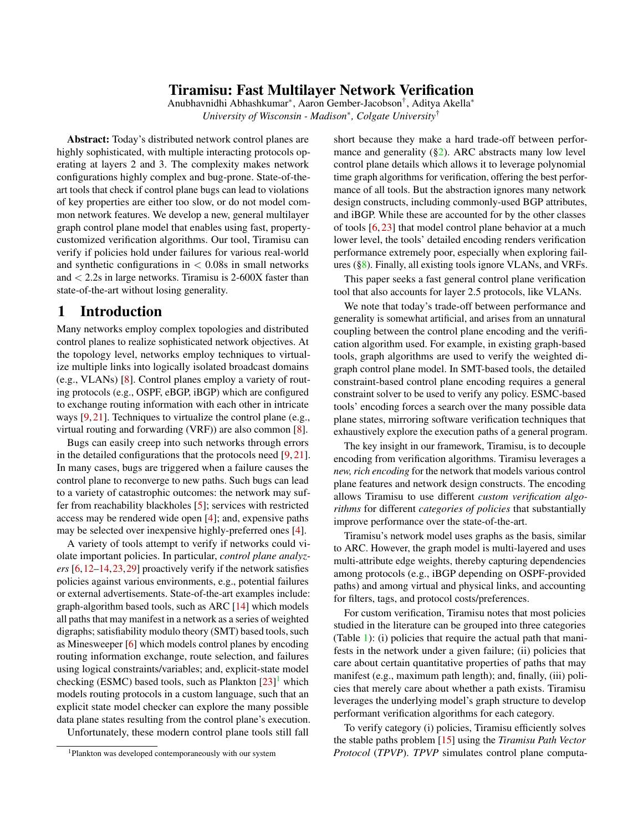## Tiramisu: Fast Multilayer Network Verification

Anubhavnidhi Abhashkumar<sup>∗</sup> , Aaron Gember-Jacobson† , Aditya Akella<sup>∗</sup> *University of Wisconsin - Madison*<sup>∗</sup> *, Colgate University*†

Abstract: Today's distributed network control planes are highly sophisticated, with multiple interacting protocols operating at layers 2 and 3. The complexity makes network configurations highly complex and bug-prone. State-of-theart tools that check if control plane bugs can lead to violations of key properties are either too slow, or do not model common network features. We develop a new, general multilayer graph control plane model that enables using fast, propertycustomized verification algorithms. Our tool, Tiramisu can verify if policies hold under failures for various real-world and synthetic configurations in  $< 0.08$ s in small networks and < 2.2s in large networks. Tiramisu is 2-600X faster than state-of-the-art without losing generality.

# 1 Introduction

Many networks employ complex topologies and distributed control planes to realize sophisticated network objectives. At the topology level, networks employ techniques to virtualize multiple links into logically isolated broadcast domains (e.g., VLANs) [\[8\]](#page-12-0). Control planes employ a variety of routing protocols (e.g., OSPF, eBGP, iBGP) which are configured to exchange routing information with each other in intricate ways [\[9,](#page-12-1) [21\]](#page-12-2). Techniques to virtualize the control plane (e.g., virtual routing and forwarding (VRF)) are also common [\[8\]](#page-12-0).

Bugs can easily creep into such networks through errors in the detailed configurations that the protocols need [\[9,](#page-12-1) [21\]](#page-12-2). In many cases, bugs are triggered when a failure causes the control plane to reconverge to new paths. Such bugs can lead to a variety of catastrophic outcomes: the network may suffer from reachability blackholes [\[5\]](#page-12-3); services with restricted access may be rendered wide open [\[4\]](#page-12-4); and, expensive paths may be selected over inexpensive highly-preferred ones [\[4\]](#page-12-4).

A variety of tools attempt to verify if networks could violate important policies. In particular, *control plane analyzers* [\[6,](#page-12-5)[12](#page-12-6)[–14,](#page-12-7)[23,](#page-12-8)[29\]](#page-13-0) proactively verify if the network satisfies policies against various environments, e.g., potential failures or external advertisements. State-of-the-art examples include: graph-algorithm based tools, such as ARC [\[14\]](#page-12-7) which models all paths that may manifest in a network as a series of weighted digraphs; satisfiability modulo theory (SMT) based tools, such as Minesweeper [\[6\]](#page-12-5) which models control planes by encoding routing information exchange, route selection, and failures using logical constraints/variables; and, explicit-state model checking (ESMC) based tools, such as Plankton [\[23\]](#page-12-8)<sup>[1](#page-0-0)</sup> which models routing protocols in a custom language, such that an explicit state model checker can explore the many possible data plane states resulting from the control plane's execution.

Unfortunately, these modern control plane tools still fall

short because they make a hard trade-off between performance and generality  $(\S_2)$ . ARC abstracts many low level control plane details which allows it to leverage polynomial time graph algorithms for verification, offering the best performance of all tools. But the abstraction ignores many network design constructs, including commonly-used BGP attributes, and iBGP. While these are accounted for by the other classes of tools [\[6,](#page-12-5) [23\]](#page-12-8) that model control plane behavior at a much lower level, the tools' detailed encoding renders verification performance extremely poor, especially when exploring failures ([§8\)](#page-8-0). Finally, all existing tools ignore VLANs, and VRFs.

This paper seeks a fast general control plane verification tool that also accounts for layer 2.5 protocols, like VLANs.

We note that today's trade-off between performance and generality is somewhat artificial, and arises from an unnatural coupling between the control plane encoding and the verification algorithm used. For example, in existing graph-based tools, graph algorithms are used to verify the weighted digraph control plane model. In SMT-based tools, the detailed constraint-based control plane encoding requires a general constraint solver to be used to verify any policy. ESMC-based tools' encoding forces a search over the many possible data plane states, mirroring software verification techniques that exhaustively explore the execution paths of a general program.

The key insight in our framework, Tiramisu, is to decouple encoding from verification algorithms. Tiramisu leverages a *new, rich encoding* for the network that models various control plane features and network design constructs. The encoding allows Tiramisu to use different *custom verification algorithms* for different *categories of policies* that substantially improve performance over the state-of-the-art.

Tiramisu's network model uses graphs as the basis, similar to ARC. However, the graph model is multi-layered and uses multi-attribute edge weights, thereby capturing dependencies among protocols (e.g., iBGP depending on OSPF-provided paths) and among virtual and physical links, and accounting for filters, tags, and protocol costs/preferences.

For custom verification, Tiramisu notes that most policies studied in the literature can be grouped into three categories (Table [1\)](#page-3-0): (i) policies that require the actual path that manifests in the network under a given failure; (ii) policies that care about certain quantitative properties of paths that may manifest (e.g., maximum path length); and, finally, (iii) policies that merely care about whether a path exists. Tiramisu leverages the underlying model's graph structure to develop performant verification algorithms for each category.

To verify category (i) policies, Tiramisu efficiently solves the stable paths problem [\[15\]](#page-12-9) using the *Tiramisu Path Vector Protocol* (*TPVP*). *TPVP* simulates control plane computa-

<span id="page-0-0"></span><sup>&</sup>lt;sup>1</sup>Plankton was developed contemporaneously with our system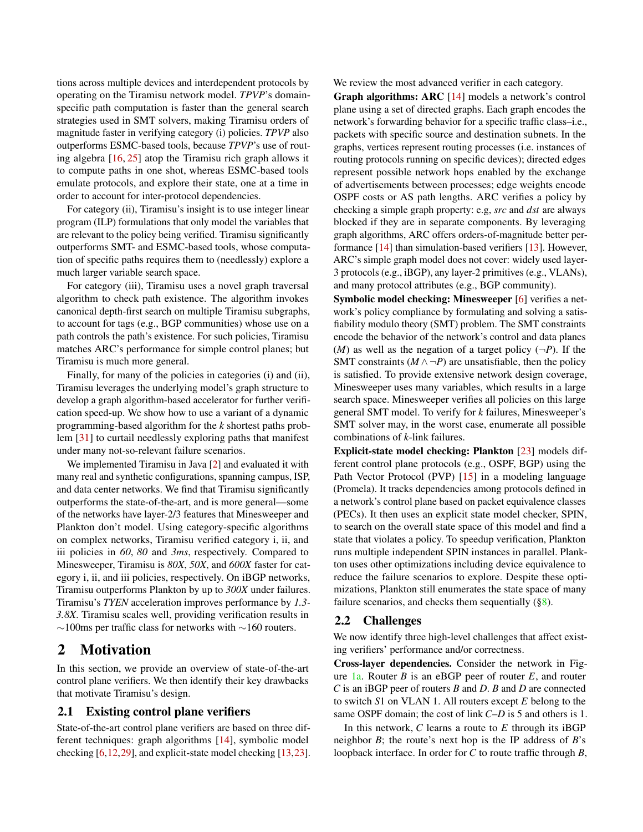tions across multiple devices and interdependent protocols by operating on the Tiramisu network model. *TPVP*'s domainspecific path computation is faster than the general search strategies used in SMT solvers, making Tiramisu orders of magnitude faster in verifying category (i) policies. *TPVP* also outperforms ESMC-based tools, because *TPVP*'s use of routing algebra [\[16,](#page-12-10) [25\]](#page-12-11) atop the Tiramisu rich graph allows it to compute paths in one shot, whereas ESMC-based tools emulate protocols, and explore their state, one at a time in order to account for inter-protocol dependencies.

For category (ii), Tiramisu's insight is to use integer linear program (ILP) formulations that only model the variables that are relevant to the policy being verified. Tiramisu significantly outperforms SMT- and ESMC-based tools, whose computation of specific paths requires them to (needlessly) explore a much larger variable search space.

For category (iii), Tiramisu uses a novel graph traversal algorithm to check path existence. The algorithm invokes canonical depth-first search on multiple Tiramisu subgraphs, to account for tags (e.g., BGP communities) whose use on a path controls the path's existence. For such policies, Tiramisu matches ARC's performance for simple control planes; but Tiramisu is much more general.

Finally, for many of the policies in categories (i) and (ii), Tiramisu leverages the underlying model's graph structure to develop a graph algorithm-based accelerator for further verification speed-up. We show how to use a variant of a dynamic programming-based algorithm for the *k* shortest paths problem [\[31\]](#page-13-1) to curtail needlessly exploring paths that manifest under many not-so-relevant failure scenarios.

We implemented Tiramisu in Java [\[2\]](#page-12-12) and evaluated it with many real and synthetic configurations, spanning campus, ISP, and data center networks. We find that Tiramisu significantly outperforms the state-of-the-art, and is more general—some of the networks have layer-2/3 features that Minesweeper and Plankton don't model. Using category-specific algorithms on complex networks, Tiramisu verified category i, ii, and iii policies in *60*, *80* and *3ms*, respectively. Compared to Minesweeper, Tiramisu is *80X*, *50X*, and *600X* faster for category i, ii, and iii policies, respectively. On iBGP networks, Tiramisu outperforms Plankton by up to *300X* under failures. Tiramisu's *TYEN* acceleration improves performance by *1.3- 3.8X*. Tiramisu scales well, providing verification results in ∼100ms per traffic class for networks with ∼160 routers.

# <span id="page-1-0"></span>2 Motivation

In this section, we provide an overview of state-of-the-art control plane verifiers. We then identify their key drawbacks that motivate Tiramisu's design.

## <span id="page-1-1"></span>2.1 Existing control plane verifiers

State-of-the-art control plane verifiers are based on three different techniques: graph algorithms [\[14\]](#page-12-7), symbolic model checking [\[6](#page-12-5)[,12,](#page-12-6)[29\]](#page-13-0), and explicit-state model checking [\[13](#page-12-13)[,23\]](#page-12-8). We review the most advanced verifier in each category.

Graph algorithms: ARC [\[14\]](#page-12-7) models a network's control plane using a set of directed graphs. Each graph encodes the network's forwarding behavior for a specific traffic class–i.e., packets with specific source and destination subnets. In the graphs, vertices represent routing processes (i.e. instances of routing protocols running on specific devices); directed edges represent possible network hops enabled by the exchange of advertisements between processes; edge weights encode OSPF costs or AS path lengths. ARC verifies a policy by checking a simple graph property: e.g, *src* and *dst* are always blocked if they are in separate components. By leveraging graph algorithms, ARC offers orders-of-magnitude better performance [\[14\]](#page-12-7) than simulation-based verifiers [\[13\]](#page-12-13). However, ARC's simple graph model does not cover: widely used layer-3 protocols (e.g., iBGP), any layer-2 primitives (e.g., VLANs), and many protocol attributes (e.g., BGP community).

Symbolic model checking: Minesweeper [\[6\]](#page-12-5) verifies a network's policy compliance by formulating and solving a satisfiability modulo theory (SMT) problem. The SMT constraints encode the behavior of the network's control and data planes  $(M)$  as well as the negation of a target policy  $(\neg P)$ . If the SMT constraints  $(M \wedge \neg P)$  are unsatisfiable, then the policy is satisfied. To provide extensive network design coverage, Minesweeper uses many variables, which results in a large search space. Minesweeper verifies all policies on this large general SMT model. To verify for *k* failures, Minesweeper's SMT solver may, in the worst case, enumerate all possible combinations of *k*-link failures.

Explicit-state model checking: Plankton [\[23\]](#page-12-8) models different control plane protocols (e.g., OSPF, BGP) using the Path Vector Protocol (PVP) [\[15\]](#page-12-9) in a modeling language (Promela). It tracks dependencies among protocols defined in a network's control plane based on packet equivalence classes (PECs). It then uses an explicit state model checker, SPIN, to search on the overall state space of this model and find a state that violates a policy. To speedup verification, Plankton runs multiple independent SPIN instances in parallel. Plankton uses other optimizations including device equivalence to reduce the failure scenarios to explore. Despite these optimizations, Plankton still enumerates the state space of many failure scenarios, and checks them sequentially  $(\S 8)$ .

## 2.2 Challenges

We now identify three high-level challenges that affect existing verifiers' performance and/or correctness.

Cross-layer dependencies. Consider the network in Figure [1a.](#page-2-0) Router *B* is an eBGP peer of router *E*, and router *C* is an iBGP peer of routers *B* and *D*. *B* and *D* are connected to switch *S*1 on VLAN 1. All routers except *E* belong to the same OSPF domain; the cost of link *C*–*D* is 5 and others is 1.

In this network, *C* learns a route to *E* through its iBGP neighbor *B*; the route's next hop is the IP address of *B*'s loopback interface. In order for *C* to route traffic through *B*,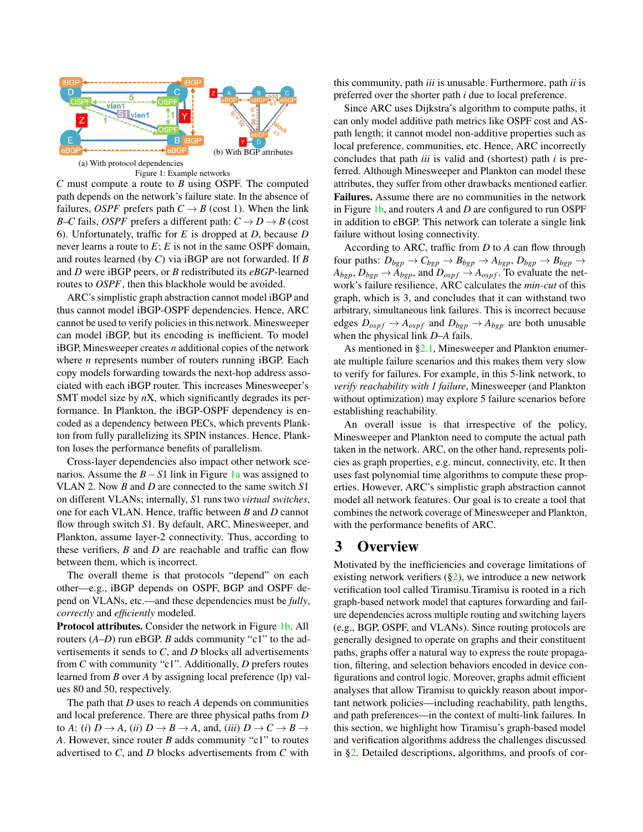<span id="page-2-0"></span>

Figure 1: Example networks

*C* must compute a route to *B* using OSPF. The computed path depends on the network's failure state. In the absence of failures, *OSPF* prefers path  $C \rightarrow B$  (cost 1). When the link *B*–*C* fails, *OSPF* prefers a different path:  $C \rightarrow D \rightarrow B$  (cost 6). Unfortunately, traffic for *E* is dropped at *D*, because *D* never learns a route to *E*; *E* is not in the same OSPF domain, and routes learned (by *C*) via iBGP are not forwarded. If *B* and *D* were iBGP peers, or *B* redistributed its *eBGP*-learned routes to *OSPF*, then this blackhole would be avoided.

ARC's simplistic graph abstraction cannot model iBGP and thus cannot model iBGP-OSPF dependencies. Hence, ARC cannot be used to verify policies in this network. Minesweeper can model iBGP, but its encoding is inefficient. To model iBGP, Minesweeper creates *n* additional copies of the network where *n* represents number of routers running iBGP. Each copy models forwarding towards the next-hop address associated with each iBGP router. This increases Minesweeper's SMT model size by *n*X, which significantly degrades its performance. In Plankton, the iBGP-OSPF dependency is encoded as a dependency between PECs, which prevents Plankton from fully parallelizing its SPIN instances. Hence, Plankton loses the performance benefits of parallelism.

Cross-layer dependencies also impact other network scenarios. Assume the *B*−*S*1 link in Figure [1a](#page-2-0) was assigned to VLAN 2. Now *B* and *D* are connected to the same switch *S*1 on different VLANs; internally, *S*1 runs two *virtual switches*, one for each VLAN. Hence, traffic between *B* and *D* cannot flow through switch *S*1. By default, ARC, Minesweeper, and Plankton, assume layer-2 connectivity. Thus, according to these verifiers, *B* and *D* are reachable and traffic can flow between them, which is incorrect.

The overall theme is that protocols "depend" on each other—e.g., iBGP depends on OSPF, BGP and OSPF depend on VLANs, etc.—and these dependencies must be *fully*, *correctly* and *efficiently* modeled.

Protocol attributes. Consider the network in Figure [1b.](#page-2-0) All routers (*A*–*D*) run eBGP. *B* adds community "c1" to the advertisements it sends to *C*, and *D* blocks all advertisements from *C* with community "c1". Additionally, *D* prefers routes learned from *B* over *A* by assigning local preference (lp) values 80 and 50, respectively.

The path that *D* uses to reach *A* depends on communities and local preference. There are three physical paths from *D* to *A*: (*i*)  $D \rightarrow A$ , (*ii*)  $D \rightarrow B \rightarrow A$ , and, (*iii*)  $D \rightarrow C \rightarrow B \rightarrow$ *A*. However, since router *B* adds community "c1" to routes advertised to *C*, and *D* blocks advertisements from *C* with this community, path *iii* is unusable. Furthermore, path *ii* is preferred over the shorter path *i* due to local preference.

Since ARC uses Dijkstra's algorithm to compute paths, it can only model additive path metrics like OSPF cost and ASpath length; it cannot model non-additive properties such as local preference, communities, etc. Hence, ARC incorrectly concludes that path *iii* is valid and (shortest) path *i* is preferred. Although Minesweeper and Plankton can model these attributes, they suffer from other drawbacks mentioned earlier. Failures. Assume there are no communities in the network in Figure [1b,](#page-2-0) and routers *A* and *D* are configured to run OSPF in addition to eBGP. This network can tolerate a single link failure without losing connectivity.

According to ARC, traffic from *D* to *A* can flow through four paths:  $D_{bgp} \rightarrow C_{bgp} \rightarrow B_{bgp} \rightarrow A_{bgp}$ ,  $D_{bgp} \rightarrow B_{bgp} \rightarrow$  $A_{bgp}$ ,  $D_{bgp} \rightarrow A_{bgp}$ , and  $D_{ospf} \rightarrow A_{ospf}$ . To evaluate the network's failure resilience, ARC calculates the *min-cut* of this graph, which is 3, and concludes that it can withstand two arbitrary, simultaneous link failures. This is incorrect because edges  $D_{ospf} \rightarrow A_{ospf}$  and  $D_{bgp} \rightarrow A_{bgp}$  are both unusable when the physical link *D*–*A* fails.

As mentioned in [§2.1,](#page-1-1) Minesweeper and Plankton enumerate multiple failure scenarios and this makes them very slow to verify for failures. For example, in this 5-link network, to *verify reachability with 1 failure*, Minesweeper (and Plankton without optimization) may explore 5 failure scenarios before establishing reachability.

An overall issue is that irrespective of the policy, Minesweeper and Plankton need to compute the actual path taken in the network. ARC, on the other hand, represents policies as graph properties, e.g. mincut, connectivity, etc. It then uses fast polynomial time algorithms to compute these properties. However, ARC's simplistic graph abstraction cannot model all network features. Our goal is to create a tool that combines the network coverage of Minesweeper and Plankton, with the performance benefits of ARC.

## 3 Overview

Motivated by the inefficiencies and coverage limitations of existing network verifiers  $(\S2)$ , we introduce a new network verification tool called Tiramisu.Tiramisu is rooted in a rich graph-based network model that captures forwarding and failure dependencies across multiple routing and switching layers (e.g., BGP, OSPF, and VLANs). Since routing protocols are generally designed to operate on graphs and their constituent paths, graphs offer a natural way to express the route propagation, filtering, and selection behaviors encoded in device configurations and control logic. Moreover, graphs admit efficient analyses that allow Tiramisu to quickly reason about important network policies—including reachability, path lengths, and path preferences—in the context of multi-link failures. In this section, we highlight how Tiramisu's graph-based model and verification algorithms address the challenges discussed in [§2.](#page-1-0) Detailed descriptions, algorithms, and proofs of cor-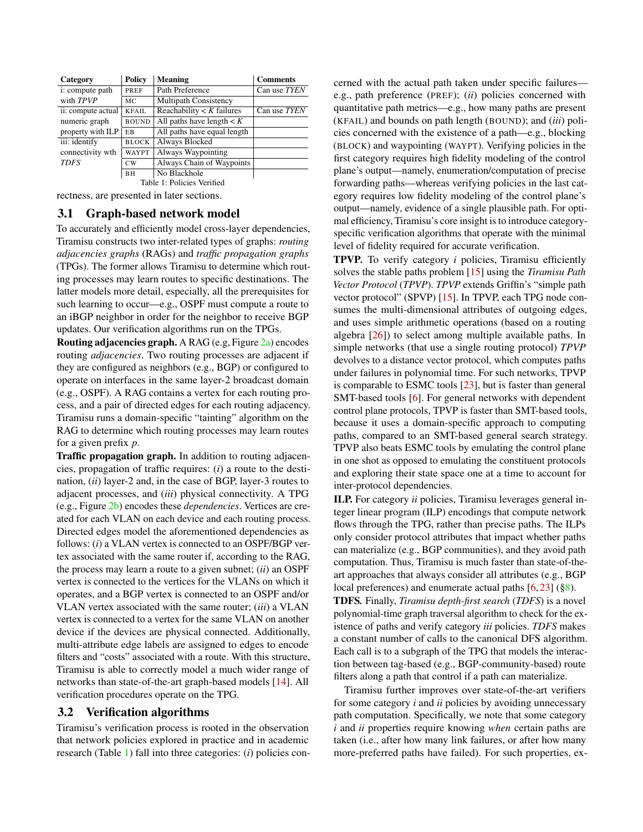<span id="page-3-0"></span>

| Category                      | <b>Policy</b> | Meaning                       | <b>Comments</b> |  |
|-------------------------------|---------------|-------------------------------|-----------------|--|
| i: compute path               | PREF          | Path Preference               | Can use TYEN    |  |
| with TPVP                     | МC            | <b>Multipath Consistency</b>  |                 |  |
| ii: compute actual            | <b>KFAIL</b>  | Reachability $\lt K$ failures | Can use TYEN    |  |
| numeric graph                 | <b>BOUND</b>  | All paths have length $\lt K$ |                 |  |
| property with ILP             | EB.           | All paths have equal length   |                 |  |
| iii: identify<br><b>BLOCK</b> |               | Always Blocked                |                 |  |
| connectivity wth              | <b>WAYPT</b>  | Always Waypointing            |                 |  |
| <b>TDFS</b>                   | CW            | Always Chain of Waypoints     |                 |  |
|                               | BH            | No Blackhole                  |                 |  |
| Table 1: Policies Verified    |               |                               |                 |  |

rectness, are presented in later sections.

## 3.1 Graph-based network model

To accurately and efficiently model cross-layer dependencies, Tiramisu constructs two inter-related types of graphs: *routing adjacencies graphs* (RAGs) and *traffic propagation graphs* (TPGs). The former allows Tiramisu to determine which routing processes may learn routes to specific destinations. The latter models more detail, especially, all the prerequisites for such learning to occur—e.g., OSPF must compute a route to an iBGP neighbor in order for the neighbor to receive BGP updates. Our verification algorithms run on the TPGs.

**Routing adjacencies graph.** A RAG (e.g, Figure  $2a$ ) encodes routing *adjacencies*. Two routing processes are adjacent if they are configured as neighbors (e.g., BGP) or configured to operate on interfaces in the same layer-2 broadcast domain (e.g., OSPF). A RAG contains a vertex for each routing process, and a pair of directed edges for each routing adjacency. Tiramisu runs a domain-specific "tainting" algorithm on the RAG to determine which routing processes may learn routes for a given prefix *p*.

Traffic propagation graph. In addition to routing adjacencies, propagation of traffic requires: (*i*) a route to the destination, (*ii*) layer-2 and, in the case of BGP, layer-3 routes to adjacent processes, and (*iii*) physical connectivity. A TPG (e.g., Figure [2b\)](#page-4-0) encodes these *dependencies*. Vertices are created for each VLAN on each device and each routing process. Directed edges model the aforementioned dependencies as follows: (*i*) a VLAN vertex is connected to an OSPF/BGP vertex associated with the same router if, according to the RAG, the process may learn a route to a given subnet; (*ii*) an OSPF vertex is connected to the vertices for the VLANs on which it operates, and a BGP vertex is connected to an OSPF and/or VLAN vertex associated with the same router; (*iii*) a VLAN vertex is connected to a vertex for the same VLAN on another device if the devices are physical connected. Additionally, multi-attribute edge labels are assigned to edges to encode filters and "costs" associated with a route. With this structure, Tiramisu is able to correctly model a much wider range of networks than state-of-the-art graph-based models [\[14\]](#page-12-7). All verification procedures operate on the TPG.

## <span id="page-3-1"></span>3.2 Verification algorithms

Tiramisu's verification process is rooted in the observation that network policies explored in practice and in academic research (Table [1\)](#page-3-0) fall into three categories: (*i*) policies concerned with the actual path taken under specific failures e.g., path preference (PREF); (*ii*) policies concerned with quantitative path metrics—e.g., how many paths are present (KFAIL) and bounds on path length (BOUND); and (*iii*) policies concerned with the existence of a path—e.g., blocking (BLOCK) and waypointing (WAYPT). Verifying policies in the first category requires high fidelity modeling of the control plane's output—namely, enumeration/computation of precise forwarding paths—whereas verifying policies in the last category requires low fidelity modeling of the control plane's output—namely, evidence of a single plausible path. For optimal efficiency, Tiramisu's core insight is to introduce categoryspecific verification algorithms that operate with the minimal level of fidelity required for accurate verification.

TPVP*.* To verify category *i* policies, Tiramisu efficiently solves the stable paths problem [\[15\]](#page-12-9) using the *Tiramisu Path Vector Protocol* (*TPVP*). *TPVP* extends Griffin's "simple path vector protocol" (SPVP) [\[15\]](#page-12-9). In TPVP, each TPG node consumes the multi-dimensional attributes of outgoing edges, and uses simple arithmetic operations (based on a routing algebra [\[26\]](#page-12-14)) to select among multiple available paths. In simple networks (that use a single routing protocol) *TPVP* devolves to a distance vector protocol, which computes paths under failures in polynomial time. For such networks, TPVP is comparable to ESMC tools [\[23\]](#page-12-8), but is faster than general SMT-based tools [\[6\]](#page-12-5). For general networks with dependent control plane protocols, TPVP is faster than SMT-based tools, because it uses a domain-specific approach to computing paths, compared to an SMT-based general search strategy. TPVP also beats ESMC tools by emulating the control plane in one shot as opposed to emulating the constituent protocols and exploring their state space one at a time to account for inter-protocol dependencies.

ILP. For category *ii* policies, Tiramisu leverages general integer linear program (ILP) encodings that compute network flows through the TPG, rather than precise paths. The ILPs only consider protocol attributes that impact whether paths can materialize (e.g., BGP communities), and they avoid path computation. Thus, Tiramisu is much faster than state-of-theart approaches that always consider all attributes (e.g., BGP local preferences) and enumerate actual paths [\[6,](#page-12-5) [23\]](#page-12-8) ([§8\)](#page-8-0).

TDFS*.* Finally, *Tiramisu depth-first search* (*TDFS*) is a novel polynomial-time graph traversal algorithm to check for the existence of paths and verify category *iii* policies. *TDFS* makes a constant number of calls to the canonical DFS algorithm. Each call is to a subgraph of the TPG that models the interaction between tag-based (e.g., BGP-community-based) route filters along a path that control if a path can materialize.

Tiramisu further improves over state-of-the-art verifiers for some category *i* and *ii* policies by avoiding unnecessary path computation. Specifically, we note that some category *i* and *ii* properties require knowing *when* certain paths are taken (i.e., after how many link failures, or after how many more-preferred paths have failed). For such properties, ex-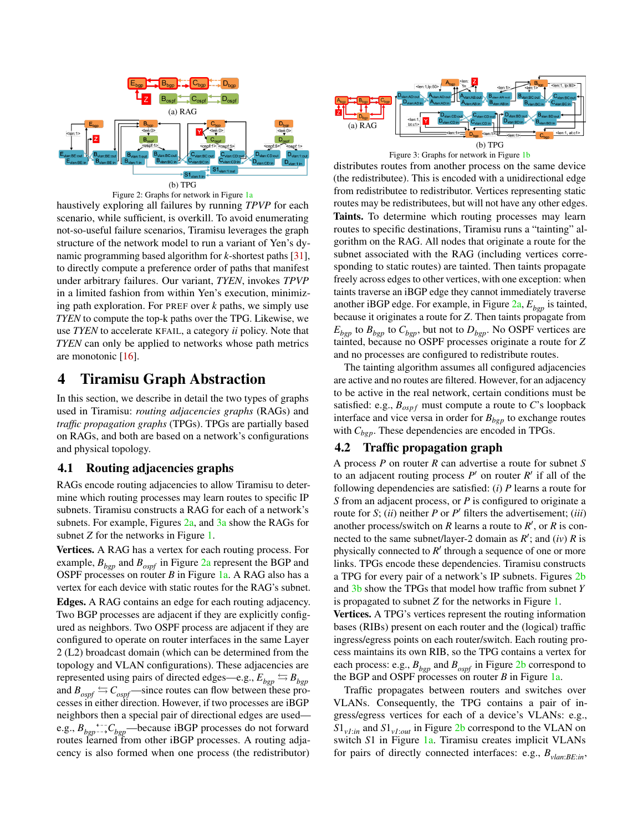<span id="page-4-0"></span>

Figure 2: Graphs for network in Figure [1a](#page-2-0)

haustively exploring all failures by running *TPVP* for each scenario, while sufficient, is overkill. To avoid enumerating not-so-useful failure scenarios, Tiramisu leverages the graph structure of the network model to run a variant of Yen's dynamic programming based algorithm for *k*-shortest paths [\[31\]](#page-13-1), to directly compute a preference order of paths that manifest under arbitrary failures. Our variant, *TYEN*, invokes *TPVP* in a limited fashion from within Yen's execution, minimizing path exploration. For PREF over *k* paths, we simply use *TYEN* to compute the top-k paths over the TPG. Likewise, we use *TYEN* to accelerate KFAIL, a category *ii* policy. Note that *TYEN* can only be applied to networks whose path metrics are monotonic [\[16\]](#page-12-10).

## <span id="page-4-4"></span>4 Tiramisu Graph Abstraction

In this section, we describe in detail the two types of graphs used in Tiramisu: *routing adjacencies graphs* (RAGs) and *traffic propagation graphs* (TPGs). TPGs are partially based on RAGs, and both are based on a network's configurations and physical topology.

#### <span id="page-4-2"></span>4.1 Routing adjacencies graphs

RAGs encode routing adjacencies to allow Tiramisu to determine which routing processes may learn routes to specific IP subnets. Tiramisu constructs a RAG for each of a network's subnets. For example, Figures [2a,](#page-4-0) and [3a](#page-4-1) show the RAGs for subnet *Z* for the networks in Figure [1.](#page-2-0)

Vertices. A RAG has a vertex for each routing process. For example,  $B_{bqn}$  and  $B_{ospf}$  in Figure [2a](#page-4-0) represent the BGP and OSPF processes on router *B* in Figure [1a.](#page-2-0) A RAG also has a vertex for each device with static routes for the RAG's subnet. Edges. A RAG contains an edge for each routing adjacency. Two BGP processes are adjacent if they are explicitly configured as neighbors. Two OSPF process are adjacent if they are configured to operate on router interfaces in the same Layer 2 (L2) broadcast domain (which can be determined from the topology and VLAN configurations). These adjacencies are represented using pairs of directed edges—e.g.,  $E_{bgp} \leftrightarrow B_{bgp}$ and  $B_{\text{ospf}} \rightleftharpoons C_{\text{ospf}}$ —since routes can flow between these processes in either direction. However, if two processes are iBGP neighbors then a special pair of directional edges are used e.g.,  $B_{bgp} \rightarrow C_{bgp}$  because iBGP processes do not forward routes learned from other iBGP processes. A routing adjacency is also formed when one process (the redistributor)

<span id="page-4-1"></span>

Figure 3: Graphs for network in Figure [1b](#page-2-0)

distributes routes from another process on the same device (the redistributee). This is encoded with a unidirectional edge from redistributee to redistributor. Vertices representing static routes may be redistributees, but will not have any other edges. Taints. To determine which routing processes may learn routes to specific destinations, Tiramisu runs a "tainting" algorithm on the RAG. All nodes that originate a route for the subnet associated with the RAG (including vertices corresponding to static routes) are tainted. Then taints propagate freely across edges to other vertices, with one exception: when taints traverse an iBGP edge they cannot immediately traverse another iBGP edge. For example, in Figure [2a,](#page-4-0) *Ebgp* is tainted, because it originates a route for *Z*. Then taints propagate from  $E_{bgp}$  to  $B_{bgp}$  to  $C_{bgp}$ , but not to  $D_{bgp}$ . No OSPF vertices are tainted, because no OSPF processes originate a route for *Z* and no processes are configured to redistribute routes.

The tainting algorithm assumes all configured adjacencies are active and no routes are filtered. However, for an adjacency to be active in the real network, certain conditions must be satisfied: e.g.,  $B_{ospf}$  must compute a route to *C*'s loopback interface and vice versa in order for  $B_{bgp}$  to exchange routes with *Cbgp*. These dependencies are encoded in TPGs.

#### <span id="page-4-3"></span>4.2 Traffic propagation graph

A process *P* on router *R* can advertise a route for subnet *S* to an adjacent routing process  $P'$  on router  $R'$  if all of the following dependencies are satisfied: (*i*) *P* learns a route for *S* from an adjacent process, or *P* is configured to originate a route for *S*; *(ii)* neither *P* or *P*<sup> $\prime$ </sup> filters the advertisement; *(iii)* another process/switch on  $R$  learns a route to  $R'$ , or  $R$  is connected to the same subnet/layer-2 domain as  $R'$ ; and  $(iv)$   $R$  is physically connected to  $R'$  through a sequence of one or more links. TPGs encode these dependencies. Tiramisu constructs a TPG for every pair of a network's IP subnets. Figures [2b](#page-4-0) and [3b](#page-4-1) show the TPGs that model how traffic from subnet *Y* is propagated to subnet *Z* for the networks in Figure [1.](#page-2-0)

Vertices. A TPG's vertices represent the routing information bases (RIBs) present on each router and the (logical) traffic ingress/egress points on each router/switch. Each routing process maintains its own RIB, so the TPG contains a vertex for each process: e.g.,  $B_{bgp}$  and  $B_{ospf}$  in Figure [2b](#page-4-0) correspond to the BGP and OSPF processes on router *B* in Figure [1a.](#page-2-0)

Traffic propagates between routers and switches over VLANs. Consequently, the TPG contains a pair of ingress/egress vertices for each of a device's VLANs: e.g.,  $S1_{v1:in}$  and  $S1_{v1:out}$  in Figure [2b](#page-4-0) correspond to the VLAN on switch *S*1 in Figure [1a.](#page-2-0) Tiramisu creates implicit VLANs for pairs of directly connected interfaces: e.g., *Bvlan*:*BE*:*in*,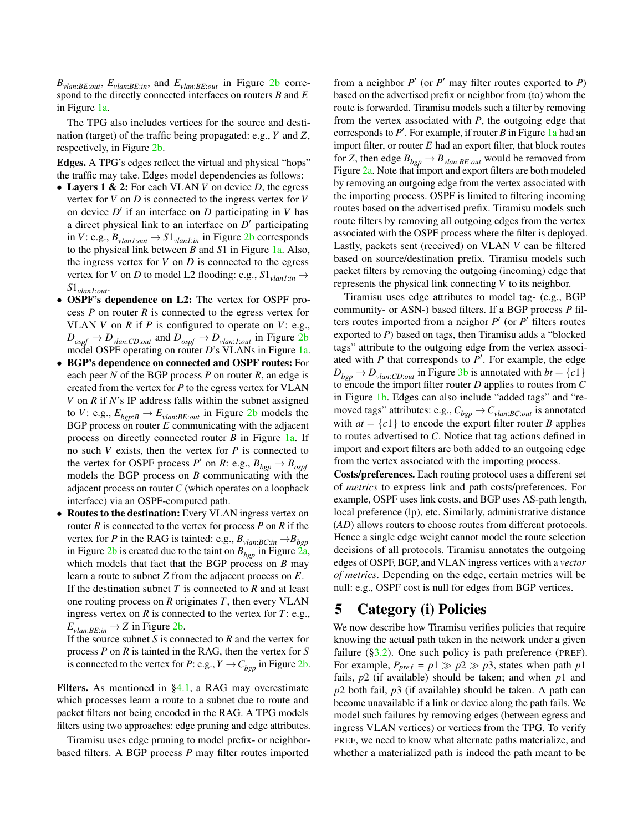$B_{vlan:BE:out}$ ,  $E_{vlan:BE:in}$ , and  $E_{vlan:BE:out}$  in Figure [2b](#page-4-0) correspond to the directly connected interfaces on routers *B* and *E* in Figure [1a.](#page-2-0)

The TPG also includes vertices for the source and destination (target) of the traffic being propagated: e.g., *Y* and *Z*, respectively, in Figure [2b.](#page-4-0)

Edges. A TPG's edges reflect the virtual and physical "hops" the traffic may take. Edges model dependencies as follows:

- Layers 1 & 2: For each VLAN *V* on device *D*, the egress vertex for *V* on *D* is connected to the ingress vertex for *V* on device  $D'$  if an interface on  $D$  participating in  $V$  has a direct physical link to an interface on  $D'$  participating in *V*: e.g.,  $B_{vlan1:out} \rightarrow S1_{vlan1:in}$  in Figure [2b](#page-4-0) corresponds to the physical link between *B* and *S*1 in Figure [1a.](#page-2-0) Also, the ingress vertex for  $V$  on  $D$  is connected to the egress vertex for *V* on *D* to model L2 flooding: e.g.,  $S1_{vlan1:in}$   $\rightarrow$ *S*1*vlan1*:*out*.
- OSPF's dependence on L2: The vertex for OSPF process *P* on router *R* is connected to the egress vertex for VLAN *V* on *R* if *P* is configured to operate on *V*: e.g.,  $D_{\text{ospf}} \to D_{\text{vlan:CD:out}}$  and  $D_{\text{ospf}} \to D_{\text{vlan:1:out}}$  in Figure [2b](#page-4-0) model OSPF operating on router *D*'s VLANs in Figure [1a.](#page-2-0)
- BGP's dependence on connected and OSPF routes: For each peer *N* of the BGP process *P* on router *R*, an edge is created from the vertex for *P* to the egress vertex for VLAN *V* on *R* if *N*'s IP address falls within the subnet assigned to *V*: e.g.,  $E_{bgp:B} \rightarrow E_{vlan:BE:out}$  in Figure [2b](#page-4-0) models the BGP process on router *E* communicating with the adjacent process on directly connected router *B* in Figure [1a.](#page-2-0) If no such *V* exists, then the vertex for *P* is connected to the vertex for OSPF process  $P'$  on  $R: e.g., B_{bgp} \rightarrow B_{ospf}$ models the BGP process on *B* communicating with the adjacent process on router*C* (which operates on a loopback interface) via an OSPF-computed path.
- Routes to the destination: Every VLAN ingress vertex on router *R* is connected to the vertex for process *P* on *R* if the vertex for *P* in the RAG is tainted: e.g.,  $B_{\text{plan:BC:in}} \rightarrow B_{\text{bgp}}$ in Figure [2b](#page-4-0) is created due to the taint on  $B_{bgp}$  in Figure  $2a$ , which models that fact that the BGP process on *B* may learn a route to subnet *Z* from the adjacent process on *E*. If the destination subnet *T* is connected to *R* and at least one routing process on *R* originates *T*, then every VLAN ingress vertex on *R* is connected to the vertex for *T*: e.g.,  $E_{\text{vlan}:BE:in} \rightarrow Z$  in Figure [2b.](#page-4-0)

If the source subnet *S* is connected to *R* and the vertex for process *P* on *R* is tainted in the RAG, then the vertex for *S* is connected to the vertex for *P*: e.g.,  $Y \rightarrow C_{bgp}$  in Figure [2b.](#page-4-0)

Filters. As mentioned in [§4.1,](#page-4-2) a RAG may overestimate which processes learn a route to a subnet due to route and packet filters not being encoded in the RAG. A TPG models filters using two approaches: edge pruning and edge attributes.

Tiramisu uses edge pruning to model prefix- or neighborbased filters. A BGP process *P* may filter routes imported

from a neighbor  $P'$  (or  $P'$  may filter routes exported to  $P$ ) based on the advertised prefix or neighbor from (to) whom the route is forwarded. Tiramisu models such a filter by removing from the vertex associated with *P*, the outgoing edge that corresponds to  $P'$ . For example, if router  $B$  in Figure [1a](#page-2-0) had an import filter, or router  $E$  had an export filter, that block routes for *Z*, then edge  $B_{bgp} \rightarrow B_{vlan:BE:out}$  would be removed from Figure [2a.](#page-4-0) Note that import and export filters are both modeled by removing an outgoing edge from the vertex associated with the importing process. OSPF is limited to filtering incoming routes based on the advertised prefix. Tiramisu models such route filters by removing all outgoing edges from the vertex associated with the OSPF process where the filter is deployed. Lastly, packets sent (received) on VLAN *V* can be filtered based on source/destination prefix. Tiramisu models such packet filters by removing the outgoing (incoming) edge that represents the physical link connecting *V* to its neighbor.

Tiramisu uses edge attributes to model tag- (e.g., BGP community- or ASN-) based filters. If a BGP process *P* filters routes imported from a neighor  $P'$  (or  $P'$  filters routes exported to *P*) based on tags, then Tiramisu adds a "blocked tags" attribute to the outgoing edge from the vertex associated with  $P$  that corresponds to  $P'$ . For example, the edge  $D_{bgp} \rightarrow D_{\text{plan:CD:}out}$  in Figure [3b](#page-4-1) is annotated with  $bt = \{c_1\}$ to encode the import filter router *D* applies to routes from *C* in Figure [1b.](#page-2-0) Edges can also include "added tags" and "removed tags" attributes: e.g.,  $C_{bgp} \rightarrow C_{\text{vlan}:BC:out}$  is annotated with  $at = \{c1\}$  to encode the export filter router *B* applies to routes advertised to *C*. Notice that tag actions defined in import and export filters are both added to an outgoing edge from the vertex associated with the importing process.

Costs/preferences. Each routing protocol uses a different set of *metrics* to express link and path costs/preferences. For example, OSPF uses link costs, and BGP uses AS-path length, local preference (lp), etc. Similarly, administrative distance (*AD*) allows routers to choose routes from different protocols. Hence a single edge weight cannot model the route selection decisions of all protocols. Tiramisu annotates the outgoing edges of OSPF, BGP, and VLAN ingress vertices with a *vector of metrics*. Depending on the edge, certain metrics will be null: e.g., OSPF cost is null for edges from BGP vertices.

# 5 Category (i) Policies

We now describe how Tiramisu verifies policies that require knowing the actual path taken in the network under a given failure  $(\S3.2)$ . One such policy is path preference (PREF). For example,  $P_{pref} = p1 \gg p2 \gg p3$ , states when path p1 fails, *p*2 (if available) should be taken; and when *p*1 and *p*2 both fail, *p*3 (if available) should be taken. A path can become unavailable if a link or device along the path fails. We model such failures by removing edges (between egress and ingress VLAN vertices) or vertices from the TPG. To verify PREF, we need to know what alternate paths materialize, and whether a materialized path is indeed the path meant to be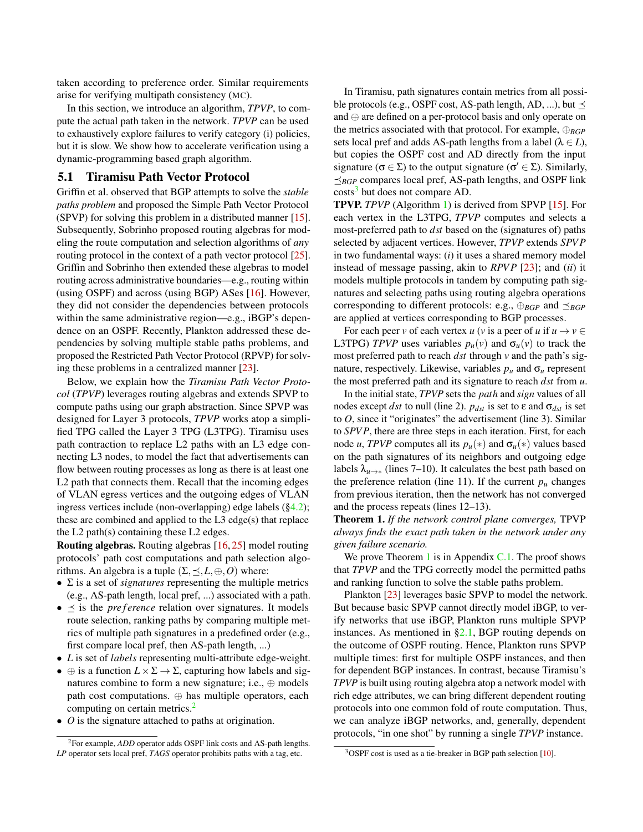taken according to preference order. Similar requirements arise for verifying multipath consistency (MC).

In this section, we introduce an algorithm, *TPVP*, to compute the actual path taken in the network. *TPVP* can be used to exhaustively explore failures to verify category (i) policies, but it is slow. We show how to accelerate verification using a dynamic-programming based graph algorithm.

#### 5.1 Tiramisu Path Vector Protocol

Griffin et al. observed that BGP attempts to solve the *stable paths problem* and proposed the Simple Path Vector Protocol (SPVP) for solving this problem in a distributed manner [\[15\]](#page-12-9). Subsequently, Sobrinho proposed routing algebras for modeling the route computation and selection algorithms of *any* routing protocol in the context of a path vector protocol [\[25\]](#page-12-11). Griffin and Sobrinho then extended these algebras to model routing across administrative boundaries—e.g., routing within (using OSPF) and across (using BGP) ASes [\[16\]](#page-12-10). However, they did not consider the dependencies between protocols within the same administrative region—e.g., iBGP's dependence on an OSPF. Recently, Plankton addressed these dependencies by solving multiple stable paths problems, and proposed the Restricted Path Vector Protocol (RPVP) for solving these problems in a centralized manner [\[23\]](#page-12-8).

Below, we explain how the *Tiramisu Path Vector Protocol* (*TPVP*) leverages routing algebras and extends SPVP to compute paths using our graph abstraction. Since SPVP was designed for Layer 3 protocols, *TPVP* works atop a simplified TPG called the Layer 3 TPG (L3TPG). Tiramisu uses path contraction to replace L2 paths with an L3 edge connecting L3 nodes, to model the fact that advertisements can flow between routing processes as long as there is at least one L2 path that connects them. Recall that the incoming edges of VLAN egress vertices and the outgoing edges of VLAN ingress vertices include (non-overlapping) edge labels ([§4.2\)](#page-4-3); these are combined and applied to the L3 edge(s) that replace the L2 path(s) containing these L2 edges.

Routing algebras. Routing algebras [\[16,](#page-12-10) [25\]](#page-12-11) model routing protocols' path cost computations and path selection algorithms. An algebra is a tuple  $(\Sigma, \leq, L, \oplus, O)$  where:

- Σ is a set of *signatures* representing the multiple metrics (e.g., AS-path length, local pref, ...) associated with a path.
- $\bullet \preceq$  is the *pre f erence* relation over signatures. It models route selection, ranking paths by comparing multiple metrics of multiple path signatures in a predefined order (e.g., first compare local pref, then AS-path length, ...)
- *L* is set of *labels* representing multi-attribute edge-weight.
- $\oplus$  is a function  $L \times \Sigma \rightarrow \Sigma$ , capturing how labels and signatures combine to form a new signature; i.e., ⊕ models path cost computations. ⊕ has multiple operators, each computing on certain metrics.<sup>[2](#page-6-0)</sup>
- *O* is the signature attached to paths at origination.

In Tiramisu, path signatures contain metrics from all possible protocols (e.g., OSPF cost, AS-path length, AD, ...), but  $\preceq$ and ⊕ are defined on a per-protocol basis and only operate on the metrics associated with that protocol. For example, ⊕*BGP* sets local pref and adds AS-path lengths from a label ( $\lambda \in L$ ), but copies the OSPF cost and AD directly from the input signature ( $\sigma \in \Sigma$ ) to the output signature ( $\sigma' \in \Sigma$ ). Similarly,  $\preceq_{\mathit{BGP}}$  compares local pref, AS-path lengths, and OSPF link costs<sup>[3](#page-6-1)</sup> but does not compare AD.

TPVP. *TPVP* (Algorithm [1\)](#page-7-0) is derived from SPVP [\[15\]](#page-12-9). For each vertex in the L3TPG, *TPVP* computes and selects a most-preferred path to *dst* based on the (signatures of) paths selected by adjacent vertices. However, *TPVP* extends *SPV P* in two fundamental ways: (*i*) it uses a shared memory model instead of message passing, akin to *RPVP* [\[23\]](#page-12-8); and *(ii)* it models multiple protocols in tandem by computing path signatures and selecting paths using routing algebra operations corresponding to different protocols: e.g.,  $\bigoplus_{BGP}$  and  $\preceq_{BGP}$ are applied at vertices corresponding to BGP processes.

For each peer *v* of each vertex *u* (*v* is a peer of *u* if  $u \to v \in$ L3TPG) *TPVP* uses variables  $p_u(v)$  and  $\sigma_u(v)$  to track the most preferred path to reach *dst* through *v* and the path's signature, respectively. Likewise, variables  $p_u$  and  $\sigma_u$  represent the most preferred path and its signature to reach *dst* from *u*.

In the initial state, *TPVP* sets the *path* and *sign* values of all nodes except *dst* to null (line 2).  $p_{dst}$  is set to  $\varepsilon$  and  $\sigma_{dst}$  is set to *O*, since it "originates" the advertisement (line 3). Similar to *SPV P*, there are three steps in each iteration. First, for each node *u*, *TPVP* computes all its  $p_u(*)$  and  $\sigma_u(*)$  values based on the path signatures of its neighbors and outgoing edge labels  $\lambda_{u\rightarrow\ast}$  (lines 7–10). It calculates the best path based on the preference relation (line 11). If the current  $p<sub>u</sub>$  changes from previous iteration, then the network has not converged and the process repeats (lines 12–13).

<span id="page-6-2"></span>Theorem 1. *If the network control plane converges,* TPVP *always finds the exact path taken in the network under any given failure scenario.*

We prove Theorem [1](#page-6-2) is in Appendix  $C<sub>1</sub>$ . The proof shows that *TPVP* and the TPG correctly model the permitted paths and ranking function to solve the stable paths problem.

Plankton [\[23\]](#page-12-8) leverages basic SPVP to model the network. But because basic SPVP cannot directly model iBGP, to verify networks that use iBGP, Plankton runs multiple SPVP instances. As mentioned in  $\S2.1$ , BGP routing depends on the outcome of OSPF routing. Hence, Plankton runs SPVP multiple times: first for multiple OSPF instances, and then for dependent BGP instances. In contrast, because Tiramisu's *TPVP* is built using routing algebra atop a network model with rich edge attributes, we can bring different dependent routing protocols into one common fold of route computation. Thus, we can analyze iBGP networks, and, generally, dependent protocols, "in one shot" by running a single *TPVP* instance.

<span id="page-6-0"></span><sup>&</sup>lt;sup>2</sup>For example, *ADD* operator adds OSPF link costs and AS-path lengths. *LP* operator sets local pref, *TAGS* operator prohibits paths with a tag, etc.

<span id="page-6-1"></span><sup>&</sup>lt;sup>3</sup>OSPF cost is used as a tie-breaker in BGP path selection [\[10\]](#page-12-15).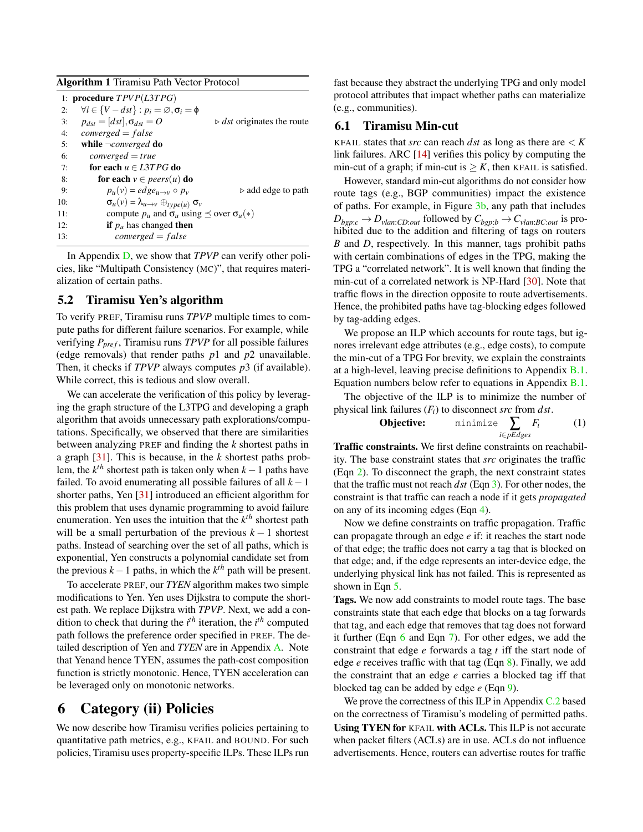<span id="page-7-0"></span>

| <b>Algorithm 1 Tiramisu Path Vector Protocol</b> |  |  |  |
|--------------------------------------------------|--|--|--|
|--------------------------------------------------|--|--|--|

|     | 1: procedure $TPVP(L3TPG)$                                                       |
|-----|----------------------------------------------------------------------------------|
| 2:  | $\forall i \in \{V - dst\} : p_i = \emptyset, \sigma_i = \emptyset$              |
| 3:  | $p_{dst} =  dst , \sigma_{dst} = 0$<br>$\triangleright$ dst originates the route |
| 4:  | $converged = false$                                                              |
| 5:  | while $\neg converged$ do                                                        |
| 6:  | $converged = true$                                                               |
| 7:  | for each $u \in L3TPG$ do                                                        |
| 8:  | for each $v \in pears(u)$ do                                                     |
| 9:  | $p_u(v) = edge_{u\rightarrow v} \circ p_v$<br>$\triangleright$ add edge to path  |
| 10: | $\sigma_u(v) = \lambda_{u \to v} \oplus_{type(u)} \sigma_v$                      |
| 11: | compute $p_u$ and $\sigma_u$ using $\prec$ over $\sigma_u(*)$                    |
| 12: | <b>if</b> $p_u$ has changed <b>then</b>                                          |
| 13: | $converged = false$                                                              |

In Appendix [D,](#page-18-0) we show that *TPVP* can verify other policies, like "Multipath Consistency (MC)", that requires materialization of certain paths.

## 5.2 Tiramisu Yen's algorithm

To verify PREF, Tiramisu runs *TPVP* multiple times to compute paths for different failure scenarios. For example, while verifying  $P_{pref}$ , Tiramisu runs *TPVP* for all possible failures (edge removals) that render paths *p*1 and *p*2 unavailable. Then, it checks if *TPVP* always computes *p*3 (if available). While correct, this is tedious and slow overall.

We can accelerate the verification of this policy by leveraging the graph structure of the L3TPG and developing a graph algorithm that avoids unnecessary path explorations/computations. Specifically, we observed that there are similarities between analyzing PREF and finding the *k* shortest paths in a graph [\[31\]](#page-13-1). This is because, in the *k* shortest paths problem, the  $k^{th}$  shortest path is taken only when  $k-1$  paths have failed. To avoid enumerating all possible failures of all *k*−1 shorter paths, Yen [\[31\]](#page-13-1) introduced an efficient algorithm for this problem that uses dynamic programming to avoid failure enumeration. Yen uses the intuition that the  $k<sup>th</sup>$  shortest path will be a small perturbation of the previous  $k - 1$  shortest paths. Instead of searching over the set of all paths, which is exponential, Yen constructs a polynomial candidate set from the previous  $k-1$  paths, in which the  $k^{th}$  path will be present.

To accelerate PREF, our *TYEN* algorithm makes two simple modifications to Yen. Yen uses Dijkstra to compute the shortest path. We replace Dijkstra with *TPVP*. Next, we add a condition to check that during the  $i^{th}$  iteration, the  $i^{th}$  computed path follows the preference order specified in PREF. The detailed description of Yen and *TYEN* are in Appendix [A.](#page-13-2) Note that Yenand hence TYEN, assumes the path-cost composition function is strictly monotonic. Hence, TYEN acceleration can be leveraged only on monotonic networks.

# 6 Category (ii) Policies

We now describe how Tiramisu verifies policies pertaining to quantitative path metrics, e.g., KFAIL and BOUND. For such policies, Tiramisu uses property-specific ILPs. These ILPs run

fast because they abstract the underlying TPG and only model protocol attributes that impact whether paths can materialize (e.g., communities).

## <span id="page-7-1"></span>6.1 Tiramisu Min-cut

KFAIL states that *src* can reach *dst* as long as there are  $\lt K$ link failures. ARC [\[14\]](#page-12-7) verifies this policy by computing the min-cut of a graph; if min-cut is  $\geq K$ , then KFAIL is satisfied.

However, standard min-cut algorithms do not consider how route tags (e.g., BGP communities) impact the existence of paths. For example, in Figure [3b,](#page-4-1) any path that includes  $D_{bep:c} \rightarrow D_{vlan:CD:out}$  followed by  $C_{bep:b} \rightarrow C_{vlan:BC:out}$  is prohibited due to the addition and filtering of tags on routers *B* and *D*, respectively. In this manner, tags prohibit paths with certain combinations of edges in the TPG, making the TPG a "correlated network". It is well known that finding the min-cut of a correlated network is NP-Hard [\[30\]](#page-13-3). Note that traffic flows in the direction opposite to route advertisements. Hence, the prohibited paths have tag-blocking edges followed by tag-adding edges.

We propose an ILP which accounts for route tags, but ignores irrelevant edge attributes (e.g., edge costs), to compute the min-cut of a TPG For brevity, we explain the constraints at a high-level, leaving precise definitions to Appendix [B.1.](#page-13-4) Equation numbers below refer to equations in Appendix [B.1.](#page-13-4)

The objective of the ILP is to minimize the number of physical link failures (*Fi*) to disconnect *src* from *dst*.

**Objective:** minimize 
$$
\sum_{i \in pEdges} F_i
$$
 (1)

Traffic constraints. We first define constraints on reachability. The base constraint states that *src* originates the traffic (Eqn [2\)](#page-14-0). To disconnect the graph, the next constraint states that the traffic must not reach *dst* (Eqn [3\)](#page-14-1). For other nodes, the constraint is that traffic can reach a node if it gets *propagated* on any of its incoming edges (Eqn [4\)](#page-14-2).

Now we define constraints on traffic propagation. Traffic can propagate through an edge *e* if: it reaches the start node of that edge; the traffic does not carry a tag that is blocked on that edge; and, if the edge represents an inter-device edge, the underlying physical link has not failed. This is represented as shown in Eqn [5.](#page-14-3)

Tags. We now add constraints to model route tags. The base constraints state that each edge that blocks on a tag forwards that tag, and each edge that removes that tag does not forward it further (Eqn [6](#page-14-4) and Eqn [7\)](#page-14-5). For other edges, we add the constraint that edge *e* forwards a tag *t* iff the start node of edge *e* receives traffic with that tag (Eqn [8\)](#page-14-6). Finally, we add the constraint that an edge *e* carries a blocked tag iff that blocked tag can be added by edge *e* (Eqn [9\)](#page-14-7).

We prove the correctness of this ILP in Appendix [C.2](#page-17-0) based on the correctness of Tiramisu's modeling of permitted paths. Using TYEN for KFAIL with ACLs. This ILP is not accurate when packet filters (ACLs) are in use. ACLs do not influence advertisements. Hence, routers can advertise routes for traffic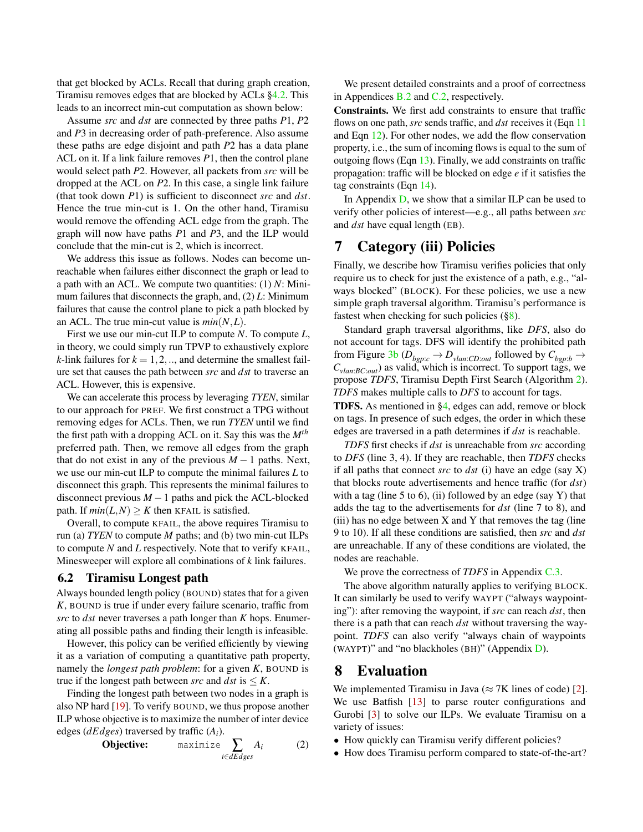that get blocked by ACLs. Recall that during graph creation, Tiramisu removes edges that are blocked by ACLs [§4.2.](#page-4-3) This leads to an incorrect min-cut computation as shown below:

Assume *src* and *dst* are connected by three paths *P*1, *P*2 and *P*3 in decreasing order of path-preference. Also assume these paths are edge disjoint and path *P*2 has a data plane ACL on it. If a link failure removes *P*1, then the control plane would select path *P*2. However, all packets from *src* will be dropped at the ACL on *P*2. In this case, a single link failure (that took down *P*1) is sufficient to disconnect *src* and *dst*. Hence the true min-cut is 1. On the other hand, Tiramisu would remove the offending ACL edge from the graph. The graph will now have paths *P*1 and *P*3, and the ILP would conclude that the min-cut is 2, which is incorrect.

We address this issue as follows. Nodes can become unreachable when failures either disconnect the graph or lead to a path with an ACL. We compute two quantities: (1) *N*: Minimum failures that disconnects the graph, and, (2) *L*: Minimum failures that cause the control plane to pick a path blocked by an ACL. The true min-cut value is  $min(N, L)$ .

First we use our min-cut ILP to compute *N*. To compute *L*, in theory, we could simply run TPVP to exhaustively explore *k*-link failures for  $k = 1, 2, \dots$ , and determine the smallest failure set that causes the path between *src* and *dst* to traverse an ACL. However, this is expensive.

We can accelerate this process by leveraging *TYEN*, similar to our approach for PREF. We first construct a TPG without removing edges for ACLs. Then, we run *TYEN* until we find the first path with a dropping ACL on it. Say this was the *Mth* preferred path. Then, we remove all edges from the graph that do not exist in any of the previous  $M-1$  paths. Next, we use our min-cut ILP to compute the minimal failures *L* to disconnect this graph. This represents the minimal failures to disconnect previous *M* −1 paths and pick the ACL-blocked path. If  $min(L, N) > K$  then KFAIL is satisfied.

Overall, to compute KFAIL, the above requires Tiramisu to run (a) *TYEN* to compute *M* paths; and (b) two min-cut ILPs to compute *N* and *L* respectively. Note that to verify KFAIL, Minesweeper will explore all combinations of *k* link failures.

## <span id="page-8-1"></span>6.2 Tiramisu Longest path

Always bounded length policy (BOUND) states that for a given *K*, BOUND is true if under every failure scenario, traffic from *src* to *dst* never traverses a path longer than *K* hops. Enumerating all possible paths and finding their length is infeasible.

However, this policy can be verified efficiently by viewing it as a variation of computing a quantitative path property, namely the *longest path problem*: for a given *K*, BOUND is true if the longest path between *src* and  $dst$  is  $\leq K$ .

Finding the longest path between two nodes in a graph is also NP hard [\[19\]](#page-12-16). To verify BOUND, we thus propose another ILP whose objective is to maximize the number of inter device edges (*dEdges*) traversed by traffic (*Ai*).

**Objective:** 
$$
\maximize \sum_{i \in dEdges} A_i
$$
 (2)

We present detailed constraints and a proof of correctness in Appendices [B.2](#page-14-8) and [C.2,](#page-17-0) respectively.

Constraints. We first add constraints to ensure that traffic flows on one path, *src* sends traffic, and *dst* receives it (Eqn [11](#page-14-9) and Eqn [12\)](#page-14-10). For other nodes, we add the flow conservation property, i.e., the sum of incoming flows is equal to the sum of outgoing flows (Eqn [13\)](#page-14-11). Finally, we add constraints on traffic propagation: traffic will be blocked on edge *e* if it satisfies the tag constraints (Eqn [14\)](#page-14-12).

In Appendix [D,](#page-18-0) we show that a similar ILP can be used to verify other policies of interest—e.g., all paths between *src* and *dst* have equal length (EB).

# 7 Category (iii) Policies

Finally, we describe how Tiramisu verifies policies that only require us to check for just the existence of a path, e.g., "always blocked" (BLOCK). For these policies, we use a new simple graph traversal algorithm. Tiramisu's performance is fastest when checking for such policies  $(\S 8)$ .

Standard graph traversal algorithms, like *DFS*, also do not account for tags. DFS will identify the prohibited path from Figure [3b](#page-4-1) ( $D_{bgp:c} \rightarrow D_{vlan:CD:out}$  followed by  $C_{bgp:b} \rightarrow$  $C_{\text{plan:BC.out}}$ ) as valid, which is incorrect. To support tags, we propose *TDFS*, Tiramisu Depth First Search (Algorithm [2\)](#page-9-0). *TDFS* makes multiple calls to *DFS* to account for tags.

TDFS. As mentioned in [§4,](#page-4-4) edges can add, remove or block on tags. In presence of such edges, the order in which these edges are traversed in a path determines if *dst* is reachable.

*TDFS* first checks if *dst* is unreachable from *src* according to *DFS* (line 3, 4). If they are reachable, then *TDFS* checks if all paths that connect *src* to *dst* (i) have an edge (say X) that blocks route advertisements and hence traffic (for *dst*) with a tag (line 5 to 6), (ii) followed by an edge (say Y) that adds the tag to the advertisements for *dst* (line 7 to 8), and  $(iii)$  has no edge between  $X$  and  $Y$  that removes the tag (line 9 to 10). If all these conditions are satisfied, then *src* and *dst* are unreachable. If any of these conditions are violated, the nodes are reachable.

We prove the correctness of *TDFS* in Appendix [C.3.](#page-17-1)

The above algorithm naturally applies to verifying BLOCK. It can similarly be used to verify WAYPT ("always waypointing"): after removing the waypoint, if *src* can reach *dst*, then there is a path that can reach *dst* without traversing the waypoint. *TDFS* can also verify "always chain of waypoints (WAYPT)" and "no blackholes (BH)" (Appendix [D\)](#page-18-0).

# <span id="page-8-0"></span>8 Evaluation

We implemented Tiramisu in Java ( $\approx$  7K lines of code) [\[2\]](#page-12-12). We use Batfish [\[13\]](#page-12-13) to parse router configurations and Gurobi [\[3\]](#page-12-17) to solve our ILPs. We evaluate Tiramisu on a variety of issues:

- How quickly can Tiramisu verify different policies?
- How does Tiramisu perform compared to state-of-the-art?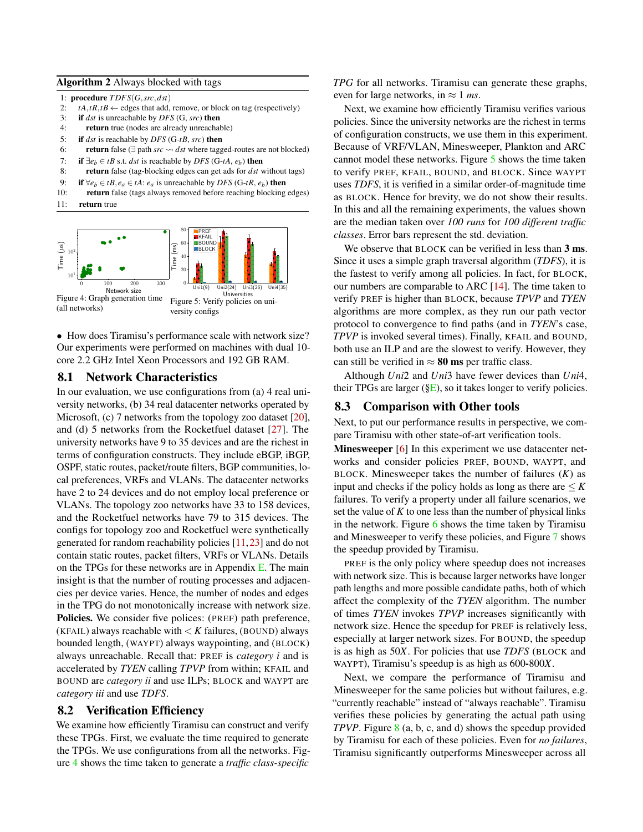#### <span id="page-9-0"></span>Algorithm 2 Always blocked with tags

1: procedure *T DFS*(*G*,*src*,*dst*)

- 2:  $tA$ ,  $tR$ ,  $tB \leftarrow$  edges that add, remove, or block on tag (respectively)
- 3: if *dst* is unreachable by *DFS* (G, *src*) then
- 4: return true (nodes are already unreachable)
- 5: if *dst* is reachable by *DFS* (G-*tB*, *src*) then
- 6: **return** false (∃ path *src*  $\sim$  *dst* where tagged-routes are not blocked)
- 7: if  $\exists e_h \in tB$  s.t. *dst* is reachable by *DFS* (G-*tA*,  $e_h$ ) then
- 8: return false (tag-blocking edges can get ads for *dst* without tags)
- 9: **if**  $∀e_b ∈ tB, e_a ∈ tA$ :  $e_a$  is unreachable by *DFS* (*G-tR,*  $e_b$ ) then
- 10: return false (tags always removed before reaching blocking edges)
- 11: return true

<span id="page-9-1"></span>

• How does Tiramisu's performance scale with network size? Our experiments were performed on machines with dual 10 core 2.2 GHz Intel Xeon Processors and 192 GB RAM.

#### 8.1 Network Characteristics

In our evaluation, we use configurations from (a) 4 real university networks, (b) 34 real datacenter networks operated by Microsoft, (c) 7 networks from the topology zoo dataset [\[20\]](#page-12-18), and (d) 5 networks from the Rocketfuel dataset [\[27\]](#page-12-19). The university networks have 9 to 35 devices and are the richest in terms of configuration constructs. They include eBGP, iBGP, OSPF, static routes, packet/route filters, BGP communities, local preferences, VRFs and VLANs. The datacenter networks have 2 to 24 devices and do not employ local preference or VLANs. The topology zoo networks have 33 to 158 devices, and the Rocketfuel networks have 79 to 315 devices. The configs for topology zoo and Rocketfuel were synthetically generated for random reachability policies [\[11,](#page-12-20)[23\]](#page-12-8) and do not contain static routes, packet filters, VRFs or VLANs. Details on the TPGs for these networks are in Appendix [E.](#page-18-1) The main insight is that the number of routing processes and adjacencies per device varies. Hence, the number of nodes and edges in the TPG do not monotonically increase with network size. Policies. We consider five polices: (PREF) path preference, (KFAIL) always reachable with  $\lt K$  failures, (BOUND) always bounded length, (WAYPT) always waypointing, and (BLOCK) always unreachable. Recall that: PREF is *category i* and is accelerated by *TYEN* calling *TPVP* from within; KFAIL and BOUND are *category ii* and use ILPs; BLOCK and WAYPT are *category iii* and use *TDFS*.

#### 8.2 Verification Efficiency

We examine how efficiently Tiramisu can construct and verify these TPGs. First, we evaluate the time required to generate the TPGs. We use configurations from all the networks. Figure [4](#page-9-1) shows the time taken to generate a *traffic class-specific*

*TPG* for all networks. Tiramisu can generate these graphs, even for large networks, in  $\approx 1$  *ms*.

Next, we examine how efficiently Tiramisu verifies various policies. Since the university networks are the richest in terms of configuration constructs, we use them in this experiment. Because of VRF/VLAN, Minesweeper, Plankton and ARC cannot model these networks. Figure [5](#page-9-1) shows the time taken to verify PREF, KFAIL, BOUND, and BLOCK. Since WAYPT uses *TDFS*, it is verified in a similar order-of-magnitude time as BLOCK. Hence for brevity, we do not show their results. In this and all the remaining experiments, the values shown are the median taken over *100 runs* for *100 different traffic classes*. Error bars represent the std. deviation.

We observe that BLOCK can be verified in less than 3 ms. Since it uses a simple graph traversal algorithm (*TDFS*), it is the fastest to verify among all policies. In fact, for BLOCK, our numbers are comparable to ARC  $[14]$ . The time taken to verify PREF is higher than BLOCK, because *TPVP* and *TYEN* algorithms are more complex, as they run our path vector protocol to convergence to find paths (and in *TYEN*'s case, *TPVP* is invoked several times). Finally, KFAIL and BOUND, both use an ILP and are the slowest to verify. However, they can still be verified in  $\approx 80$  ms per traffic class.

Although *Uni*2 and *Uni*3 have fewer devices than *Uni*4, their TPGs are larger  $(\S E)$ , so it takes longer to verify policies.

#### 8.3 Comparison with Other tools

Next, to put our performance results in perspective, we compare Tiramisu with other state-of-art verification tools.

Minesweeper [\[6\]](#page-12-5) In this experiment we use datacenter networks and consider policies PREF, BOUND, WAYPT, and BLOCK. Minesweeper takes the number of failures  $(K)$  as input and checks if the policy holds as long as there are  $\leq K$ failures. To verify a property under all failure scenarios, we set the value of *K* to one less than the number of physical links in the network. Figure [6](#page-10-0) shows the time taken by Tiramisu and Minesweeper to verify these policies, and Figure [7](#page-10-1) shows the speedup provided by Tiramisu.

PREF is the only policy where speedup does not increases with network size. This is because larger networks have longer path lengths and more possible candidate paths, both of which affect the complexity of the *TYEN* algorithm. The number of times *TYEN* invokes *TPVP* increases significantly with network size. Hence the speedup for PREF is relatively less, especially at larger network sizes. For BOUND, the speedup is as high as 50*X*. For policies that use *TDFS* (BLOCK and WAYPT), Tiramisu's speedup is as high as 600-800*X*.

Next, we compare the performance of Tiramisu and Minesweeper for the same policies but without failures, e.g. "currently reachable" instead of "always reachable". Tiramisu verifies these policies by generating the actual path using *TPVP*. Figure [8](#page-11-0) (a, b, c, and d) shows the speedup provided by Tiramisu for each of these policies. Even for *no failures*, Tiramisu significantly outperforms Minesweeper across all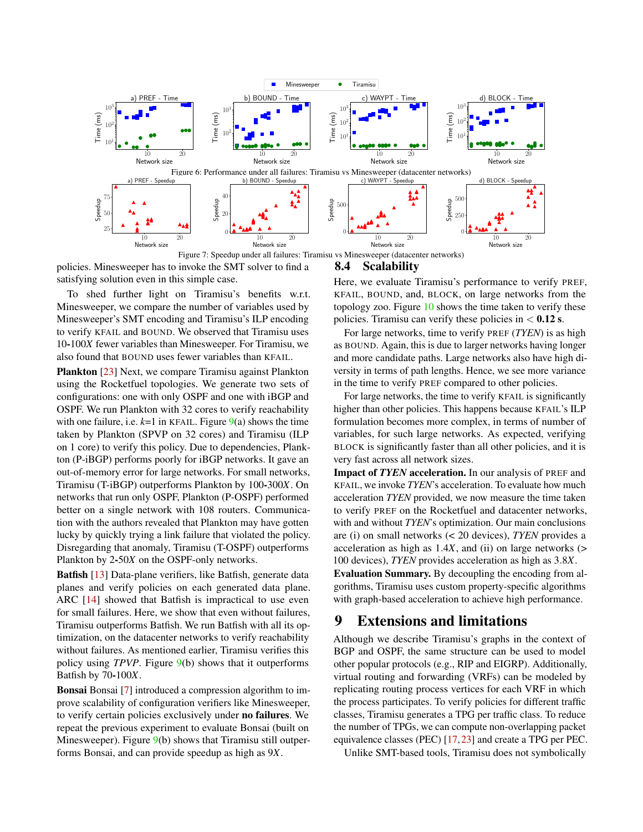<span id="page-10-0"></span>

<span id="page-10-1"></span>policies. Minesweeper has to invoke the SMT solver to find a satisfying solution even in this simple case.

To shed further light on Tiramisu's benefits w.r.t. Minesweeper, we compare the number of variables used by Minesweeper's SMT encoding and Tiramisu's ILP encoding to verify KFAIL and BOUND. We observed that Tiramisu uses 10-100*X* fewer variables than Minesweeper. For Tiramisu, we also found that BOUND uses fewer variables than KFAIL.

Plankton [\[23\]](#page-12-8) Next, we compare Tiramisu against Plankton using the Rocketfuel topologies. We generate two sets of configurations: one with only OSPF and one with iBGP and OSPF. We run Plankton with 32 cores to verify reachability with one failure, i.e.  $k=1$  in KFAIL. Figure  $9(a)$  $9(a)$  shows the time taken by Plankton (SPVP on 32 cores) and Tiramisu (ILP on 1 core) to verify this policy. Due to dependencies, Plankton (P-iBGP) performs poorly for iBGP networks. It gave an out-of-memory error for large networks. For small networks, Tiramisu (T-iBGP) outperforms Plankton by 100-300*X*. On networks that run only OSPF, Plankton (P-OSPF) performed better on a single network with 108 routers. Communication with the authors revealed that Plankton may have gotten lucky by quickly trying a link failure that violated the policy. Disregarding that anomaly, Tiramisu (T-OSPF) outperforms Plankton by 2-50*X* on the OSPF-only networks.

Batfish [\[13\]](#page-12-13) Data-plane verifiers, like Batfish, generate data planes and verify policies on each generated data plane. ARC [\[14\]](#page-12-7) showed that Batfish is impractical to use even for small failures. Here, we show that even without failures, Tiramisu outperforms Batfish. We run Batfish with all its optimization, on the datacenter networks to verify reachability without failures. As mentioned earlier, Tiramisu verifies this policy using *TPVP*. Figure [9\(](#page-11-1)b) shows that it outperforms Batfish by 70-100*X*.

Bonsai Bonsai [\[7\]](#page-12-21) introduced a compression algorithm to improve scalability of configuration verifiers like Minesweeper, to verify certain policies exclusively under no failures. We repeat the previous experiment to evaluate Bonsai (built on Minesweeper). Figure [9\(](#page-11-1)b) shows that Tiramisu still outperforms Bonsai, and can provide speedup as high as 9*X*.

## 8.4 Scalability

Here, we evaluate Tiramisu's performance to verify PREF, KFAIL, BOUND, and, BLOCK, on large networks from the topology zoo. Figure [10](#page-11-2) shows the time taken to verify these policies. Tiramisu can verify these policies in  $< 0.12$  s.

For large networks, time to verify PREF (*TYEN*) is as high as BOUND. Again, this is due to larger networks having longer and more candidate paths. Large networks also have high diversity in terms of path lengths. Hence, we see more variance in the time to verify PREF compared to other policies.

For large networks, the time to verify KFAIL is significantly higher than other policies. This happens because KFAIL's ILP formulation becomes more complex, in terms of number of variables, for such large networks. As expected, verifying BLOCK is significantly faster than all other policies, and it is very fast across all network sizes.

Impact of *TYEN* acceleration. In our analysis of PREF and KFAIL, we invoke *TYEN*'s acceleration. To evaluate how much acceleration *TYEN* provided, we now measure the time taken to verify PREF on the Rocketfuel and datacenter networks, with and without *TYEN*'s optimization. Our main conclusions are (i) on small networks (< 20 devices), *TYEN* provides a acceleration as high as 1.4*X*, and (ii) on large networks (> 100 devices), *TYEN* provides acceleration as high as 3.8*X*.

Evaluation Summary. By decoupling the encoding from algorithms, Tiramisu uses custom property-specific algorithms with graph-based acceleration to achieve high performance.

# 9 Extensions and limitations

Although we describe Tiramisu's graphs in the context of BGP and OSPF, the same structure can be used to model other popular protocols (e.g., RIP and EIGRP). Additionally, virtual routing and forwarding (VRFs) can be modeled by replicating routing process vertices for each VRF in which the process participates. To verify policies for different traffic classes, Tiramisu generates a TPG per traffic class. To reduce the number of TPGs, we can compute non-overlapping packet equivalence classes (PEC) [\[17,](#page-12-22)[23\]](#page-12-8) and create a TPG per PEC.

Unlike SMT-based tools, Tiramisu does not symbolically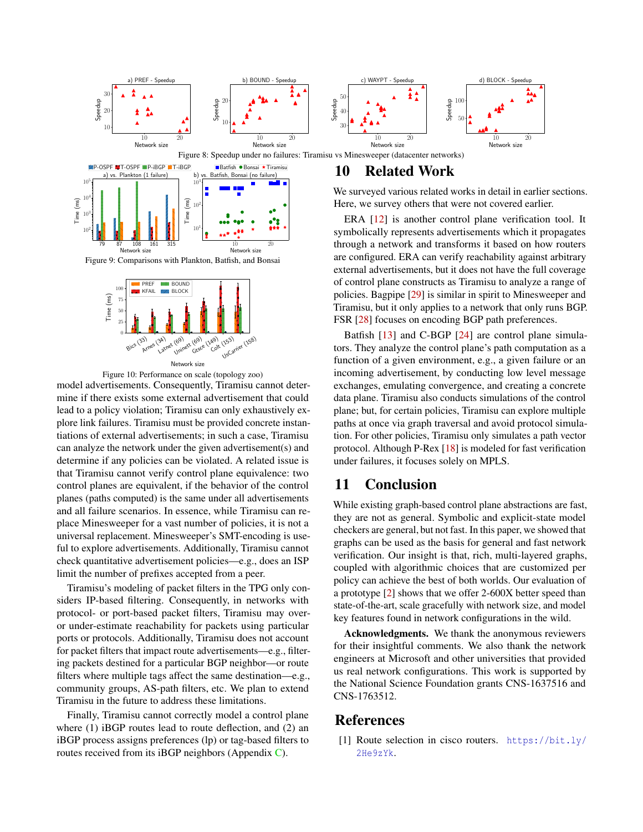<span id="page-11-0"></span>

<span id="page-11-1"></span>

<span id="page-11-2"></span>

Figure 10: Performance on scale (topology zoo)

model advertisements. Consequently, Tiramisu cannot determine if there exists some external advertisement that could lead to a policy violation; Tiramisu can only exhaustively explore link failures. Tiramisu must be provided concrete instantiations of external advertisements; in such a case, Tiramisu can analyze the network under the given advertisement(s) and determine if any policies can be violated. A related issue is that Tiramisu cannot verify control plane equivalence: two control planes are equivalent, if the behavior of the control planes (paths computed) is the same under all advertisements and all failure scenarios. In essence, while Tiramisu can replace Minesweeper for a vast number of policies, it is not a universal replacement. Minesweeper's SMT-encoding is useful to explore advertisements. Additionally, Tiramisu cannot check quantitative advertisement policies—e.g., does an ISP limit the number of prefixes accepted from a peer.

Tiramisu's modeling of packet filters in the TPG only considers IP-based filtering. Consequently, in networks with protocol- or port-based packet filters, Tiramisu may overor under-estimate reachability for packets using particular ports or protocols. Additionally, Tiramisu does not account for packet filters that impact route advertisements—e.g., filtering packets destined for a particular BGP neighbor—or route filters where multiple tags affect the same destination—e.g., community groups, AS-path filters, etc. We plan to extend Tiramisu in the future to address these limitations.

Finally, Tiramisu cannot correctly model a control plane where (1) iBGP routes lead to route deflection, and (2) an iBGP process assigns preferences (lp) or tag-based filters to routes received from its iBGP neighbors (Appendix [C\)](#page-14-13).

We surveyed various related works in detail in earlier sections. Here, we survey others that were not covered earlier.

ERA [\[12\]](#page-12-6) is another control plane verification tool. It symbolically represents advertisements which it propagates through a network and transforms it based on how routers are configured. ERA can verify reachability against arbitrary external advertisements, but it does not have the full coverage of control plane constructs as Tiramisu to analyze a range of policies. Bagpipe [\[29\]](#page-13-0) is similar in spirit to Minesweeper and Tiramisu, but it only applies to a network that only runs BGP. FSR [\[28\]](#page-13-5) focuses on encoding BGP path preferences.

Batfish [\[13\]](#page-12-13) and C-BGP [\[24\]](#page-12-23) are control plane simulators. They analyze the control plane's path computation as a function of a given environment, e.g., a given failure or an incoming advertisement, by conducting low level message exchanges, emulating convergence, and creating a concrete data plane. Tiramisu also conducts simulations of the control plane; but, for certain policies, Tiramisu can explore multiple paths at once via graph traversal and avoid protocol simulation. For other policies, Tiramisu only simulates a path vector protocol. Although P-Rex [\[18\]](#page-12-24) is modeled for fast verification under failures, it focuses solely on MPLS.

# 11 Conclusion

While existing graph-based control plane abstractions are fast, they are not as general. Symbolic and explicit-state model checkers are general, but not fast. In this paper, we showed that graphs can be used as the basis for general and fast network verification. Our insight is that, rich, multi-layered graphs, coupled with algorithmic choices that are customized per policy can achieve the best of both worlds. Our evaluation of a prototype [\[2\]](#page-12-12) shows that we offer 2-600X better speed than state-of-the-art, scale gracefully with network size, and model key features found in network configurations in the wild.

Acknowledgments. We thank the anonymous reviewers for their insightful comments. We also thank the network engineers at Microsoft and other universities that provided us real network configurations. This work is supported by the National Science Foundation grants CNS-1637516 and CNS-1763512.

# <span id="page-11-3"></span>References

[1] Route selection in cisco routers. [https://bit.ly/](https://bit.ly/2He9zYk) [2He9zYk](https://bit.ly/2He9zYk).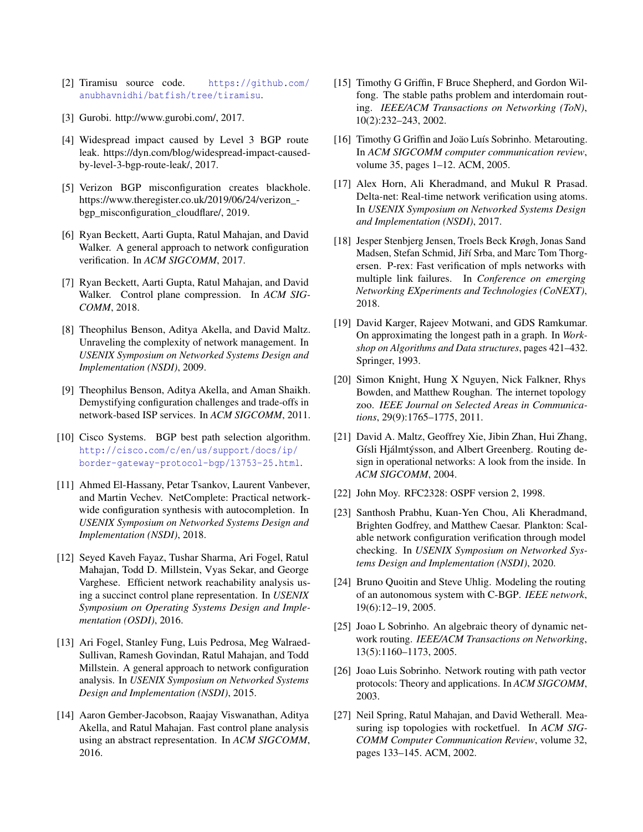- <span id="page-12-12"></span>[2] Tiramisu source code. [https://github.com/](https://github.com/anubhavnidhi/batfish/tree/tiramisu) [anubhavnidhi/batfish/tree/tiramisu](https://github.com/anubhavnidhi/batfish/tree/tiramisu).
- <span id="page-12-17"></span>[3] Gurobi. http://www.gurobi.com/, 2017.
- <span id="page-12-4"></span>[4] Widespread impact caused by Level 3 BGP route leak. https://dyn.com/blog/widespread-impact-causedby-level-3-bgp-route-leak/, 2017.
- <span id="page-12-3"></span>[5] Verizon BGP misconfiguration creates blackhole. https://www.theregister.co.uk/2019/06/24/verizon\_ bgp\_misconfiguration\_cloudflare/, 2019.
- <span id="page-12-5"></span>[6] Ryan Beckett, Aarti Gupta, Ratul Mahajan, and David Walker. A general approach to network configuration verification. In *ACM SIGCOMM*, 2017.
- <span id="page-12-21"></span>[7] Ryan Beckett, Aarti Gupta, Ratul Mahajan, and David Walker. Control plane compression. In *ACM SIG-COMM*, 2018.
- <span id="page-12-0"></span>[8] Theophilus Benson, Aditya Akella, and David Maltz. Unraveling the complexity of network management. In *USENIX Symposium on Networked Systems Design and Implementation (NSDI)*, 2009.
- <span id="page-12-1"></span>[9] Theophilus Benson, Aditya Akella, and Aman Shaikh. Demystifying configuration challenges and trade-offs in network-based ISP services. In *ACM SIGCOMM*, 2011.
- <span id="page-12-15"></span>[10] Cisco Systems. BGP best path selection algorithm. [http://cisco.com/c/en/us/support/docs/ip/](http://cisco.com/c/en/us/support/docs/ip/border-gateway-protocol-bgp/13753-25.html) [border-gateway-protocol-bgp/13753-25.html](http://cisco.com/c/en/us/support/docs/ip/border-gateway-protocol-bgp/13753-25.html).
- <span id="page-12-20"></span>[11] Ahmed El-Hassany, Petar Tsankov, Laurent Vanbever, and Martin Vechev. NetComplete: Practical networkwide configuration synthesis with autocompletion. In *USENIX Symposium on Networked Systems Design and Implementation (NSDI)*, 2018.
- <span id="page-12-6"></span>[12] Seyed Kaveh Fayaz, Tushar Sharma, Ari Fogel, Ratul Mahajan, Todd D. Millstein, Vyas Sekar, and George Varghese. Efficient network reachability analysis using a succinct control plane representation. In *USENIX Symposium on Operating Systems Design and Implementation (OSDI)*, 2016.
- <span id="page-12-13"></span>[13] Ari Fogel, Stanley Fung, Luis Pedrosa, Meg Walraed-Sullivan, Ramesh Govindan, Ratul Mahajan, and Todd Millstein. A general approach to network configuration analysis. In *USENIX Symposium on Networked Systems Design and Implementation (NSDI)*, 2015.
- <span id="page-12-7"></span>[14] Aaron Gember-Jacobson, Raajay Viswanathan, Aditya Akella, and Ratul Mahajan. Fast control plane analysis using an abstract representation. In *ACM SIGCOMM*, 2016.
- <span id="page-12-9"></span>[15] Timothy G Griffin, F Bruce Shepherd, and Gordon Wilfong. The stable paths problem and interdomain routing. *IEEE/ACM Transactions on Networking (ToN)*, 10(2):232–243, 2002.
- <span id="page-12-10"></span>[16] Timothy G Griffin and Joäo Luís Sobrinho. Metarouting. In *ACM SIGCOMM computer communication review*, volume 35, pages 1–12. ACM, 2005.
- <span id="page-12-22"></span>[17] Alex Horn, Ali Kheradmand, and Mukul R Prasad. Delta-net: Real-time network verification using atoms. In *USENIX Symposium on Networked Systems Design and Implementation (NSDI)*, 2017.
- <span id="page-12-24"></span>[18] Jesper Stenbjerg Jensen, Troels Beck Krøgh, Jonas Sand Madsen, Stefan Schmid, Jiří Srba, and Marc Tom Thorgersen. P-rex: Fast verification of mpls networks with multiple link failures. In *Conference on emerging Networking EXperiments and Technologies (CoNEXT)*, 2018.
- <span id="page-12-16"></span>[19] David Karger, Rajeev Motwani, and GDS Ramkumar. On approximating the longest path in a graph. In *Workshop on Algorithms and Data structures*, pages 421–432. Springer, 1993.
- <span id="page-12-18"></span>[20] Simon Knight, Hung X Nguyen, Nick Falkner, Rhys Bowden, and Matthew Roughan. The internet topology zoo. *IEEE Journal on Selected Areas in Communications*, 29(9):1765–1775, 2011.
- <span id="page-12-2"></span>[21] David A. Maltz, Geoffrey Xie, Jibin Zhan, Hui Zhang, Gísli Hjálmtýsson, and Albert Greenberg. Routing design in operational networks: A look from the inside. In *ACM SIGCOMM*, 2004.
- <span id="page-12-25"></span>[22] John Moy. RFC2328: OSPF version 2, 1998.
- <span id="page-12-8"></span>[23] Santhosh Prabhu, Kuan-Yen Chou, Ali Kheradmand, Brighten Godfrey, and Matthew Caesar. Plankton: Scalable network configuration verification through model checking. In *USENIX Symposium on Networked Systems Design and Implementation (NSDI)*, 2020.
- <span id="page-12-23"></span>[24] Bruno Quoitin and Steve Uhlig. Modeling the routing of an autonomous system with C-BGP. *IEEE network*, 19(6):12–19, 2005.
- <span id="page-12-11"></span>[25] Joao L Sobrinho. An algebraic theory of dynamic network routing. *IEEE/ACM Transactions on Networking*, 13(5):1160–1173, 2005.
- <span id="page-12-14"></span>[26] Joao Luis Sobrinho. Network routing with path vector protocols: Theory and applications. In *ACM SIGCOMM*, 2003.
- <span id="page-12-19"></span>[27] Neil Spring, Ratul Mahajan, and David Wetherall. Measuring isp topologies with rocketfuel. In *ACM SIG-COMM Computer Communication Review*, volume 32, pages 133–145. ACM, 2002.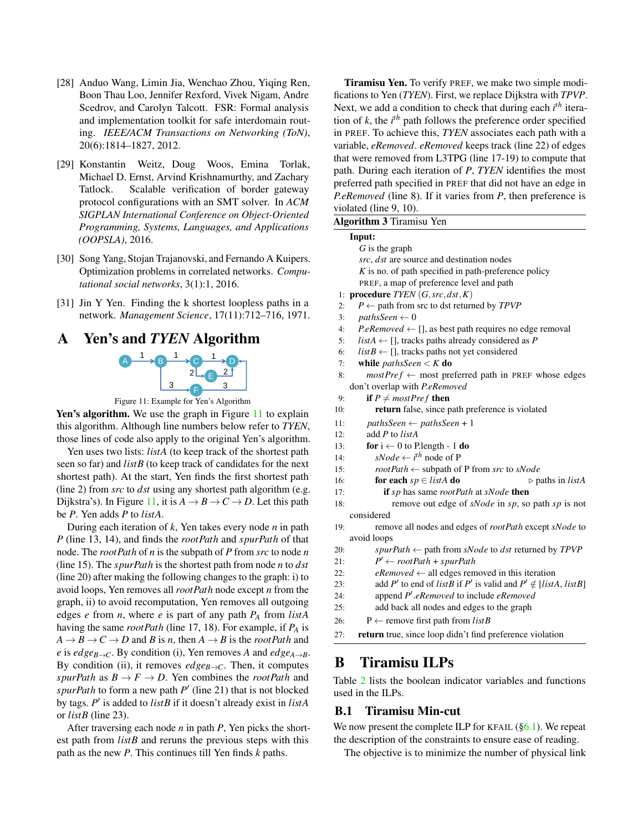- <span id="page-13-5"></span>[28] Anduo Wang, Limin Jia, Wenchao Zhou, Yiqing Ren, Boon Thau Loo, Jennifer Rexford, Vivek Nigam, Andre Scedrov, and Carolyn Talcott. FSR: Formal analysis and implementation toolkit for safe interdomain routing. *IEEE/ACM Transactions on Networking (ToN)*, 20(6):1814–1827, 2012.
- <span id="page-13-0"></span>[29] Konstantin Weitz, Doug Woos, Emina Torlak, Michael D. Ernst, Arvind Krishnamurthy, and Zachary Tatlock. Scalable verification of border gateway protocol configurations with an SMT solver. In *ACM SIGPLAN International Conference on Object-Oriented Programming, Systems, Languages, and Applications (OOPSLA)*, 2016.
- <span id="page-13-3"></span>[30] Song Yang, Stojan Trajanovski, and Fernando A Kuipers. Optimization problems in correlated networks. *Computational social networks*, 3(1):1, 2016.
- <span id="page-13-1"></span>[31] Jin Y Yen. Finding the k shortest loopless paths in a network. *Management Science*, 17(11):712–716, 1971.

# <span id="page-13-6"></span><span id="page-13-2"></span>A Yen's and *TYEN* Algorithm



Figure 11: Example for Yen's Algorithm

Yen's algorithm. We use the graph in Figure [11](#page-13-6) to explain this algorithm. Although line numbers below refer to *TYEN*, those lines of code also apply to the original Yen's algorithm.

Yen uses two lists: *listA* (to keep track of the shortest path seen so far) and *listB* (to keep track of candidates for the next shortest path). At the start, Yen finds the first shortest path (line 2) from *src* to *dst* using any shortest path algorithm (e.g. Dijkstra's). In Figure [11,](#page-13-6) it is  $A \rightarrow B \rightarrow C \rightarrow D$ . Let this path be *P*. Yen adds *P* to *listA*.

During each iteration of *k*, Yen takes every node *n* in path *P* (line 13, 14), and finds the *rootPath* and *spurPath* of that node. The *rootPath* of *n* is the subpath of *P* from *src* to node *n* (line 15). The *spurPath* is the shortest path from node *n* to *dst* (line 20) after making the following changes to the graph: i) to avoid loops, Yen removes all *rootPath* node except *n* from the graph, ii) to avoid recomputation, Yen removes all outgoing edges *e* from *n*, where *e* is part of any path *P<sup>A</sup>* from *listA* having the same *rootPath* (line 17, 18). For example, if *P<sup>A</sup>* is  $A \rightarrow B \rightarrow C \rightarrow D$  and *B* is *n*, then  $A \rightarrow B$  is the *rootPath* and *e* is *edge*<sub>*B*→*C*</sub>. By condition (i), Yen removes *A* and *edge<sub>A→</sub>B*. By condition (ii), it removes  $edge_{B\rightarrow C}$ . Then, it computes *spurPath* as  $B \to F \to D$ . Yen combines the *rootPath* and  $spurPath$  to form a new path  $P'$  (line 21) that is not blocked by tags. P' is added to *listB* if it doesn't already exist in *listA* or *listB* (line 23).

After traversing each node *n* in path *P*, Yen picks the shortest path from *listB* and reruns the previous steps with this path as the new *P*. This continues till Yen finds *k* paths.

**Tiramisu Yen.** To verify PREF, we make two simple modifications to Yen (*TYEN*). First, we replace Dijkstra with *TPVP*. Next, we add a condition to check that during each  $i^{th}$  iteration of  $k$ , the  $i<sup>th</sup>$  path follows the preference order specified in PREF. To achieve this, *TYEN* associates each path with a variable, *eRemoved*. *eRemoved* keeps track (line 22) of edges that were removed from L3TPG (line 17-19) to compute that path. During each iteration of *P*, *TYEN* identifies the most preferred path specified in PREF that did not have an edge in *P*.*eRemoved* (line 8). If it varies from *P*, then preference is  $v_1, v_2, v_3, v_1, v_2$ 

|     | Input:                                                                    |
|-----|---------------------------------------------------------------------------|
|     | $G$ is the graph                                                          |
|     | src, dst are source and destination nodes                                 |
|     | $K$ is no. of path specified in path-preference policy                    |
|     | PREF, a map of preference level and path                                  |
|     | 1: procedure $TYEN(G, src, dst, K)$                                       |
| 2:  | $P \leftarrow$ path from src to dst returned by TPVP                      |
| 3:  | $pathsSeen \leftarrow 0$                                                  |
| 4:  | <i>P.eRemoved</i> $\leftarrow$ [], as best path requires no edge removal  |
| 5:  | <i>listA</i> $\leftarrow$ [], tracks paths already considered as <i>P</i> |
| 6:  | $listB \leftarrow []$ , tracks paths not yet considered                   |
| 7:  | while <i>pathsSeen</i> $\lt K$ do                                         |
| 8:  | $mostPref \leftarrow most preferred path in PREF whose edges$             |
|     | don't overlap with P.eRemoved                                             |
| 9:  | if $P \neq mostPref$ then                                                 |
| 10: | return false, since path preference is violated                           |
| 11: | $pathsSeen \leftarrow pathsSeen + 1$                                      |
| 12: | add P to listA                                                            |
| 13: | for $i \leftarrow 0$ to P.length - 1 do                                   |
| 14: | $sNode \leftarrow i^{th}$ node of P                                       |
| 15: | $rootPath \leftarrow subpath of P from src to sNode$                      |
| 16: | for each $sp \in listA$ do<br>$\triangleright$ paths in <i>listA</i>      |
| 17: | if sp has same rootPath at sNode then                                     |
| 18: | remove out edge of sNode in sp, so path sp is not                         |
|     | considered                                                                |
| 19: | remove all nodes and edges of rootPath except sNode to                    |
|     | avoid loops                                                               |
| 20: | spurPath $\leftarrow$ path from sNode to dst returned by TPVP             |
| 21: | $P' \leftarrow rootPath + spurPath$                                       |
| 22: | $e$ Removed $\leftarrow$ all edges removed in this iteration              |
| 23: | add P' to end of list B if P' is valid and $P' \notin [listA, listB]$     |
| 24: | append $P'$ .eRemoved to include eRemoved                                 |
| 25: | add back all nodes and edges to the graph                                 |
| 26: | $P \leftarrow$ remove first path from <i>list B</i>                       |
| 27: | return true, since loop didn't find preference violation                  |

# B Tiramisu ILPs

Table [2](#page-14-14) lists the boolean indicator variables and functions used in the ILPs.

## <span id="page-13-4"></span>B.1 Tiramisu Min-cut

We now present the complete ILP for KFAIL  $(\S6.1)$ . We repeat the description of the constraints to ensure ease of reading.

The objective is to minimize the number of physical link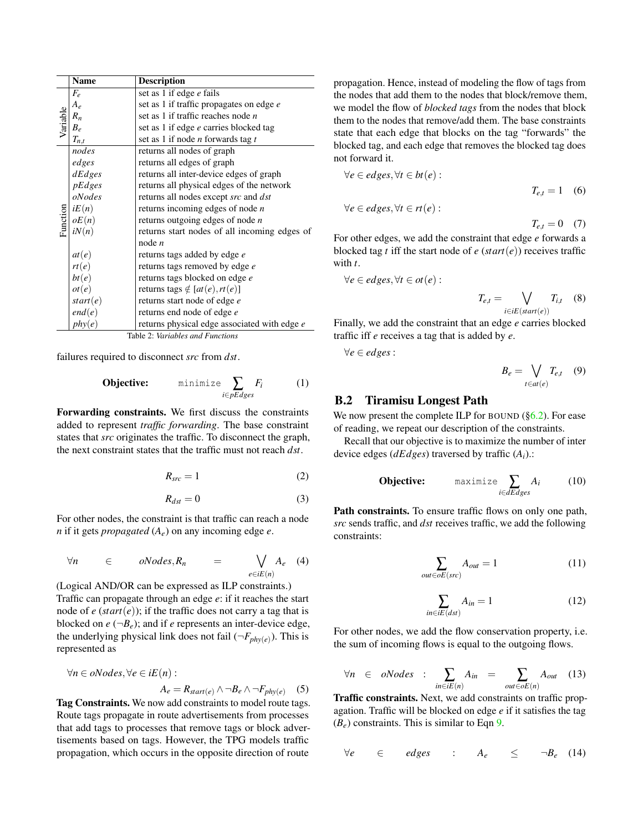<span id="page-14-14"></span>

|                                  | Name      | <b>Description</b>                              |  |
|----------------------------------|-----------|-------------------------------------------------|--|
|                                  | $F_e$     | set as 1 if edge e fails                        |  |
| Variable                         | $A_e$     | set as 1 if traffic propagates on edge e        |  |
|                                  | $R_n$     | set as 1 if traffic reaches node $n$            |  |
|                                  | $B_e$     | set as 1 if edge e carries blocked tag          |  |
|                                  | $T_{n,t}$ | set as 1 if node <i>n</i> forwards tag <i>t</i> |  |
|                                  | nodes     | returns all nodes of graph                      |  |
| Function                         | edges     | returns all edges of graph                      |  |
|                                  | dEdges    | returns all inter-device edges of graph         |  |
|                                  | pEdges    | returns all physical edges of the network       |  |
|                                  | oNodes    | returns all nodes except src and dst            |  |
|                                  | iE(n)     | returns incoming edges of node $n$              |  |
|                                  | oE(n)     | returns outgoing edges of node $n$              |  |
|                                  | iN(n)     | returns start nodes of all incoming edges of    |  |
|                                  |           | node $n$                                        |  |
|                                  | at(e)     | returns tags added by edge e                    |  |
|                                  | rt(e)     | returns tags removed by edge e                  |  |
|                                  | bt(e)     | returns tags blocked on edge e                  |  |
|                                  | ot(e)     | returns tags $\notin [at(e),rt(e)]$             |  |
|                                  | start(e)  | returns start node of edge e                    |  |
|                                  | end(e)    | returns end node of edge e                      |  |
|                                  | phy(e)    | returns physical edge associated with edge e    |  |
| Table 2: Variables and Functions |           |                                                 |  |

<span id="page-14-15"></span>failures required to disconnect *src* from *dst*.

**Objective:** minimize 
$$
\sum_{i \in pEdges} F_i
$$
 (1)

<span id="page-14-0"></span>Forwarding constraints. We first discuss the constraints added to represent *traffic forwarding*. The base constraint states that *src* originates the traffic. To disconnect the graph, the next constraint states that the traffic must not reach *dst*.

$$
R_{src} = 1\tag{2}
$$

$$
R_{dst} = 0 \tag{3}
$$

<span id="page-14-1"></span>For other nodes, the constraint is that traffic can reach a node *n* if it gets *propagated* (*Ae*) on any incoming edge *e*.

$$
\forall n \in ONodes, R_n = \bigvee_{e \in iE(n)} A_e \quad (4)
$$

(Logical AND/OR can be expressed as ILP constraints.) Traffic can propagate through an edge *e*: if it reaches the start node of  $e$  ( $start(e)$ ); if the traffic does not carry a tag that is blocked on  $e(-B_e)$ ; and if *e* represents an inter-device edge, the underlying physical link does not fail  $(\neg F_{phy(e)})$ . This is represented as

$$
\forall n \in oNodes, \forall e \in iE(n):
$$
  

$$
A_e = R_{start(e)} \land \neg B_e \land \neg F_{phy(e)} \quad (5)
$$

Tag Constraints. We now add constraints to model route tags. Route tags propagate in route advertisements from processes that add tags to processes that remove tags or block advertisements based on tags. However, the TPG models traffic propagation, which occurs in the opposite direction of route

propagation. Hence, instead of modeling the flow of tags from the nodes that add them to the nodes that block/remove them, we model the flow of *blocked tags* from the nodes that block them to the nodes that remove/add them. The base constraints state that each edge that blocks on the tag "forwards" the blocked tag, and each edge that removes the blocked tag does not forward it.

$$
\forall e \in edges, \forall t \in bt(e):
$$
  

$$
T_{e,t} = 1 \quad (6)
$$
  

$$
\forall e \in edges, \forall t \in rt(e):
$$
  

$$
T_{e,t} = 0 \quad (7)
$$

For other edges, we add the constraint that edge *e* forwards a blocked tag *t* iff the start node of  $e$  ( $start(e)$ ) receives traffic with *t*.

$$
\forall e \in edges, \forall t \in ot(e):
$$

<span id="page-14-6"></span><span id="page-14-5"></span><span id="page-14-4"></span>
$$
T_{e,t} = \bigvee_{i \in iE(start(e))} T_{i,t} \quad (8)
$$

Finally, we add the constraint that an edge *e* carries blocked traffic iff *e* receives a tag that is added by *e*.

∀*e* ∈ *edges* :

<span id="page-14-7"></span>
$$
B_e = \bigvee_{t \in at(e)} T_{e,t} \quad (9)
$$

#### <span id="page-14-8"></span>B.2 Tiramisu Longest Path

We now present the complete ILP for BOUND  $(\S6.2)$ . For ease of reading, we repeat our description of the constraints.

<span id="page-14-16"></span>Recall that our objective is to maximize the number of inter device edges (*dEdges*) traversed by traffic (*Ai*).:

**Objective:** 
$$
\text{maximize } \sum_{i \in dEdges} A_i \tag{10}
$$

<span id="page-14-9"></span><span id="page-14-2"></span>Path constraints. To ensure traffic flows on only one path, *src* sends traffic, and *dst* receives traffic, we add the following constraints:

$$
\sum_{out \in oE(src)} A_{out} = 1 \tag{11}
$$

<span id="page-14-12"></span><span id="page-14-11"></span>
$$
\sum_{in \in iE(dst)} A_{in} = 1 \tag{12}
$$

<span id="page-14-10"></span>For other nodes, we add the flow conservation property, i.e. the sum of incoming flows is equal to the outgoing flows.

$$
\forall n \in \text{oNodes : } \sum_{in \in iE(n)} A_{in} = \sum_{out \in oE(n)} A_{out} \quad (13)
$$

<span id="page-14-3"></span>Traffic constraints. Next, we add constraints on traffic propagation. Traffic will be blocked on edge *e* if it satisfies the tag  $(B_e)$  constraints. This is similar to Eqn [9.](#page-14-7)

<span id="page-14-13"></span>
$$
\forall e \in edges \quad : \quad A_e \leq \neg B_e \quad (14)
$$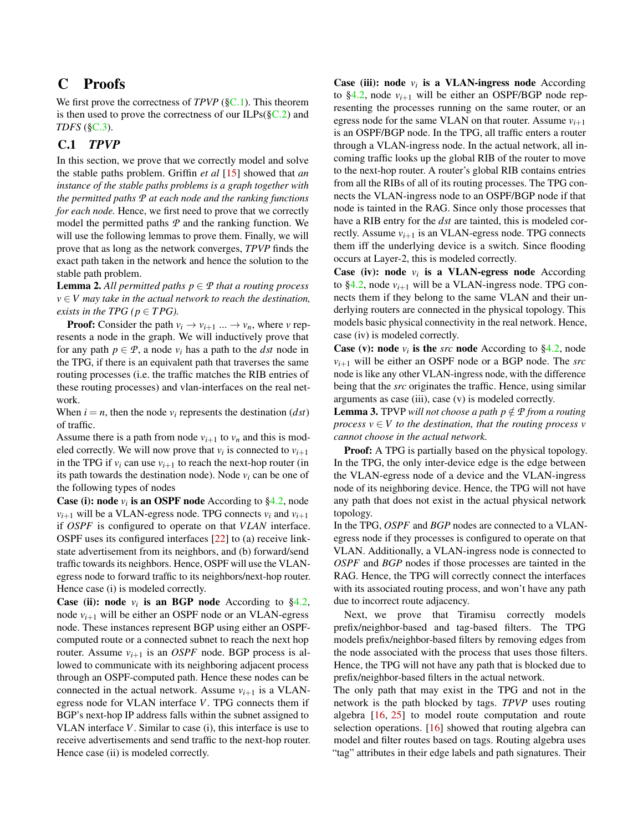# C Proofs

We first prove the correctness of *TPVP* ([§C.1\)](#page-15-0). This theorem is then used to prove the correctness of our ILPs( $\S$ C.2) and *TDFS* ([§C.3\)](#page-17-1).

## <span id="page-15-0"></span>C.1 *TPVP*

In this section, we prove that we correctly model and solve the stable paths problem. Griffin *et al* [\[15\]](#page-12-9) showed that *an instance of the stable paths problems is a graph together with the permitted paths P at each node and the ranking functions for each node.* Hence, we first need to prove that we correctly model the permitted paths *P* and the ranking function. We will use the following lemmas to prove them. Finally, we will prove that as long as the network converges, *TPVP* finds the exact path taken in the network and hence the solution to the stable path problem.

<span id="page-15-2"></span>**Lemma 2.** All permitted paths  $p \in \mathcal{P}$  that a routing process  $v \in V$  *may take in the actual network to reach the destination, exists in the TPG (* $p \in TPG$ *).* 

**Proof:** Consider the path  $v_i \rightarrow v_{i+1} \dots \rightarrow v_n$ , where *v* represents a node in the graph. We will inductively prove that for any path  $p \in \mathcal{P}$ , a node  $v_i$  has a path to the *dst* node in the TPG, if there is an equivalent path that traverses the same routing processes (i.e. the traffic matches the RIB entries of these routing processes) and vlan-interfaces on the real network.

When  $i = n$ , then the node  $v_i$  represents the destination  $(dst)$ of traffic.

Assume there is a path from node  $v_{i+1}$  to  $v_n$  and this is modeled correctly. We will now prove that  $v_i$  is connected to  $v_{i+1}$ in the TPG if  $v_i$  can use  $v_{i+1}$  to reach the next-hop router (in its path towards the destination node). Node  $v_i$  can be one of the following types of nodes

**Case (i): node**  $v_i$  is an OSPF node According to  $\S 4.2$ , node  $v_{i+1}$  will be a VLAN-egress node. TPG connects  $v_i$  and  $v_{i+1}$ if *OSPF* is configured to operate on that *V LAN* interface. OSPF uses its configured interfaces [\[22\]](#page-12-25) to (a) receive linkstate advertisement from its neighbors, and (b) forward/send traffic towards its neighbors. Hence, OSPF will use the VLANegress node to forward traffic to its neighbors/next-hop router. Hence case (i) is modeled correctly.

**Case (ii): node**  $v_i$  is an BGP node According to  $\S 4.2$ , node  $v_{i+1}$  will be either an OSPF node or an VLAN-egress node. These instances represent BGP using either an OSPFcomputed route or a connected subnet to reach the next hop router. Assume  $v_{i+1}$  is an *OSPF* node. BGP process is allowed to communicate with its neighboring adjacent process through an OSPF-computed path. Hence these nodes can be connected in the actual network. Assume  $v_{i+1}$  is a VLANegress node for VLAN interface *V*. TPG connects them if BGP's next-hop IP address falls within the subnet assigned to VLAN interface *V*. Similar to case (i), this interface is use to receive advertisements and send traffic to the next-hop router. Hence case (ii) is modeled correctly.

Case (iii): node  $v_i$  is a VLAN-ingress node According to  $\S4.2$ , node  $v_{i+1}$  will be either an OSPF/BGP node representing the processes running on the same router, or an egress node for the same VLAN on that router. Assume  $v_{i+1}$ is an OSPF/BGP node. In the TPG, all traffic enters a router through a VLAN-ingress node. In the actual network, all incoming traffic looks up the global RIB of the router to move to the next-hop router. A router's global RIB contains entries from all the RIBs of all of its routing processes. The TPG connects the VLAN-ingress node to an OSPF/BGP node if that node is tainted in the RAG. Since only those processes that have a RIB entry for the *dst* are tainted, this is modeled correctly. Assume  $v_{i+1}$  is an VLAN-egress node. TPG connects them iff the underlying device is a switch. Since flooding occurs at Layer-2, this is modeled correctly.

**Case (iv):** node  $v_i$  is a VLAN-egress node According to  $\S 4.2$ , node  $v_{i+1}$  will be a VLAN-ingress node. TPG connects them if they belong to the same VLAN and their underlying routers are connected in the physical topology. This models basic physical connectivity in the real network. Hence, case (iv) is modeled correctly.

**Case (v): node**  $v_i$  is the *src* node According to  $\S 4.2$ , node  $v_{i+1}$  will be either an OSPF node or a BGP node. The *src* node is like any other VLAN-ingress node, with the difference being that the *src* originates the traffic. Hence, using similar arguments as case (iii), case (v) is modeled correctly.

<span id="page-15-1"></span>**Lemma 3.** TPVP *will not choose a path*  $p \notin P$  *from a routing process*  $v \in V$  *to the destination, that the routing process*  $v$ *cannot choose in the actual network.*

Proof: A TPG is partially based on the physical topology. In the TPG, the only inter-device edge is the edge between the VLAN-egress node of a device and the VLAN-ingress node of its neighboring device. Hence, the TPG will not have any path that does not exist in the actual physical network topology.

In the TPG, *OSPF* and *BGP* nodes are connected to a VLANegress node if they processes is configured to operate on that VLAN. Additionally, a VLAN-ingress node is connected to *OSPF* and *BGP* nodes if those processes are tainted in the RAG. Hence, the TPG will correctly connect the interfaces with its associated routing process, and won't have any path due to incorrect route adjacency.

Next, we prove that Tiramisu correctly models prefix/neighbor-based and tag-based filters. The TPG models prefix/neighbor-based filters by removing edges from the node associated with the process that uses those filters. Hence, the TPG will not have any path that is blocked due to prefix/neighbor-based filters in the actual network.

The only path that may exist in the TPG and not in the network is the path blocked by tags. *TPVP* uses routing algebra [\[16,](#page-12-10) [25\]](#page-12-11) to model route computation and route selection operations. [\[16\]](#page-12-10) showed that routing algebra can model and filter routes based on tags. Routing algebra uses "tag" attributes in their edge labels and path signatures. Their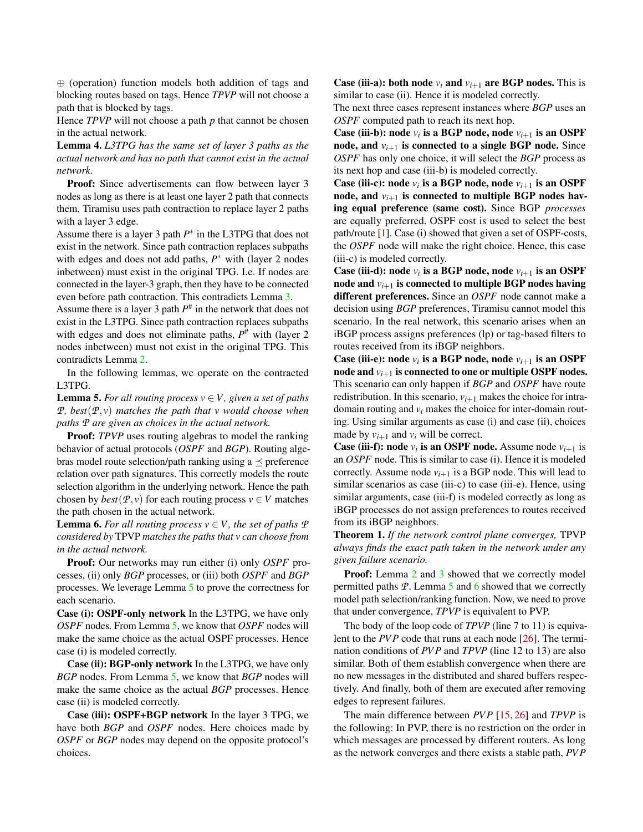⊕ (operation) function models both addition of tags and blocking routes based on tags. Hence *TPVP* will not choose a path that is blocked by tags.

Hence *TPVP* will not choose a path *p* that cannot be chosen in the actual network.

Lemma 4. *L3TPG has the same set of layer 3 paths as the actual network and has no path that cannot exist in the actual network.*

Proof: Since advertisements can flow between layer 3 nodes as long as there is at least one layer 2 path that connects them, Tiramisu uses path contraction to replace layer 2 paths with a layer 3 edge.

Assume there is a layer 3 path *P* ∗ in the L3TPG that does not exist in the network. Since path contraction replaces subpaths with edges and does not add paths,  $P^*$  with (layer 2 nodes inbetween) must exist in the original TPG. I.e. If nodes are connected in the layer-3 graph, then they have to be connected even before path contraction. This contradicts Lemma [3.](#page-15-1)

Assume there is a layer 3 path *P* # in the network that does not exist in the L3TPG. Since path contraction replaces subpaths with edges and does not eliminate paths,  $P^{\#}$  with (layer 2) nodes inbetween) must not exist in the original TPG. This contradicts Lemma [2.](#page-15-2)

In the following lemmas, we operate on the contracted L3TPG.

<span id="page-16-0"></span>**Lemma 5.** For all routing process  $v \in V$ , given a set of paths *P, best*( $P$ *, v*) *matches the path that v would choose when paths P are given as choices in the actual network.*

**Proof:** *TPVP* uses routing algebras to model the ranking behavior of actual protocols (*OSPF* and *BGP*). Routing algebras model route selection/path ranking using a  $\preceq$  preference relation over path signatures. This correctly models the route selection algorithm in the underlying network. Hence the path chosen by  $best(P, v)$  for each routing process  $v \in V$  matches the path chosen in the actual network.

<span id="page-16-1"></span>**Lemma 6.** For all routing process  $v \in V$ , the set of paths  $P$ *considered by* TPVP *matches the paths that v can choose from in the actual network.*

Proof: Our networks may run either (i) only *OSPF* processes, (ii) only *BGP* processes, or (iii) both *OSPF* and *BGP* processes. We leverage Lemma [5](#page-16-0) to prove the correctness for each scenario.

Case (i): OSPF-only network In the L3TPG, we have only *OSPF* nodes. From Lemma [5,](#page-16-0) we know that *OSPF* nodes will make the same choice as the actual OSPF processes. Hence case (i) is modeled correctly.

Case (ii): BGP-only network In the L3TPG, we have only *BGP* nodes. From Lemma [5,](#page-16-0) we know that *BGP* nodes will make the same choice as the actual *BGP* processes. Hence case (ii) is modeled correctly.

Case (iii): OSPF+BGP network In the layer 3 TPG, we have both *BGP* and *OSPF* nodes. Here choices made by *OSPF* or *BGP* nodes may depend on the opposite protocol's choices.

**Case (iii-a): both node**  $v_i$  **and**  $v_{i+1}$  **are BGP nodes. This is** similar to case (ii). Hence it is modeled correctly.

The next three cases represent instances where *BGP* uses an *OSPF* computed path to reach its next hop.

Case (iii-b): node  $v_i$  is a BGP node, node  $v_{i+1}$  is an OSPF node, and  $v_{i+1}$  is connected to a single BGP node. Since *OSPF* has only one choice, it will select the *BGP* process as its next hop and case (iii-b) is modeled correctly.

Case (iii-c): node  $v_i$  is a BGP node, node  $v_{i+1}$  is an OSPF node, and  $v_{i+1}$  is connected to multiple BGP nodes having equal preference (same cost). Since BGP *processes* are equally preferred, OSPF cost is used to select the best path/route [\[1\]](#page-11-3). Case (i) showed that given a set of OSPF-costs, the *OSPF* node will make the right choice. Hence, this case (iii-c) is modeled correctly.

Case (iii-d): node  $v_i$  is a BGP node, node  $v_{i+1}$  is an OSPF node and  $v_{i+1}$  is connected to multiple BGP nodes having different preferences. Since an *OSPF* node cannot make a decision using *BGP* preferences, Tiramisu cannot model this scenario. In the real network, this scenario arises when an iBGP process assigns preferences (lp) or tag-based filters to routes received from its iBGP neighbors.

Case (iii-e): node  $v_i$  is a BGP node, node  $v_{i+1}$  is an OSPF node and  $v_{i+1}$  is connected to one or multiple OSPF nodes. This scenario can only happen if *BGP* and *OSPF* have route redistribution. In this scenario,  $v_{i+1}$  makes the choice for intradomain routing and *v<sup>i</sup>* makes the choice for inter-domain routing. Using similar arguments as case (i) and case (ii), choices made by  $v_{i+1}$  and  $v_i$  will be correct.

**Case (iii-f):** node  $v_i$  is an OSPF node. Assume node  $v_{i+1}$  is an *OSPF* node. This is similar to case (i). Hence it is modeled correctly. Assume node  $v_{i+1}$  is a BGP node. This will lead to similar scenarios as case (iii-c) to case (iii-e). Hence, using similar arguments, case (iii-f) is modeled correctly as long as iBGP processes do not assign preferences to routes received from its iBGP neighbors.

Theorem 1. *If the network control plane converges,* TPVP *always finds the exact path taken in the network under any given failure scenario.*

**Proof:** Lemma [2](#page-15-2) and [3](#page-15-1) showed that we correctly model permitted paths *P*. Lemma [5](#page-16-0) and [6](#page-16-1) showed that we correctly model path selection/ranking function. Now, we need to prove that under convergence, *TPVP* is equivalent to PVP.

The body of the loop code of *TPVP* (line 7 to 11) is equivalent to the *PVP* code that runs at each node [\[26\]](#page-12-14). The termination conditions of *PV P* and *TPVP* (line 12 to 13) are also similar. Both of them establish convergence when there are no new messages in the distributed and shared buffers respectively. And finally, both of them are executed after removing edges to represent failures.

The main difference between *PV P* [\[15,](#page-12-9) [26\]](#page-12-14) and *TPVP* is the following: In PVP, there is no restriction on the order in which messages are processed by different routers. As long as the network converges and there exists a stable path, *PV P*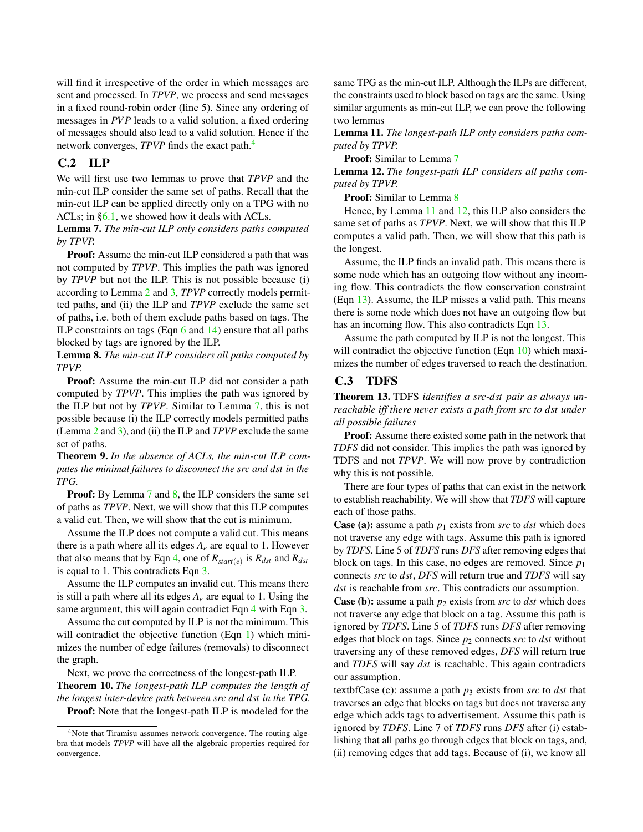will find it irrespective of the order in which messages are sent and processed. In *TPVP*, we process and send messages in a fixed round-robin order (line 5). Since any ordering of messages in *PVP* leads to a valid solution, a fixed ordering of messages should also lead to a valid solution. Hence if the network converges, *TPVP* finds the exact path.<sup>[4](#page-17-2)</sup>

## <span id="page-17-0"></span>C.2 ILP

We will first use two lemmas to prove that *TPVP* and the min-cut ILP consider the same set of paths. Recall that the min-cut ILP can be applied directly only on a TPG with no ACLs; in [§6.1,](#page-7-1) we showed how it deals with ACLs.

<span id="page-17-3"></span>Lemma 7. *The min-cut ILP only considers paths computed by TPVP.*

Proof: Assume the min-cut ILP considered a path that was not computed by *TPVP*. This implies the path was ignored by *TPVP* but not the ILP. This is not possible because (i) according to Lemma [2](#page-15-2) and [3,](#page-15-1) *TPVP* correctly models permitted paths, and (ii) the ILP and *TPVP* exclude the same set of paths, i.e. both of them exclude paths based on tags. The ILP constraints on tags (Eqn [6](#page-14-4) and [14\)](#page-14-12) ensure that all paths blocked by tags are ignored by the ILP.

<span id="page-17-4"></span>Lemma 8. *The min-cut ILP considers all paths computed by TPVP.*

Proof: Assume the min-cut ILP did not consider a path computed by *TPVP*. This implies the path was ignored by the ILP but not by *TPVP*. Similar to Lemma [7,](#page-17-3) this is not possible because (i) the ILP correctly models permitted paths (Lemma [2](#page-15-2) and [3\)](#page-15-1), and (ii) the ILP and *TPVP* exclude the same set of paths.

Theorem 9. *In the absence of ACLs, the min-cut ILP computes the minimal failures to disconnect the src and dst in the TPG.*

**Proof:** By Lemma [7](#page-17-3) and [8,](#page-17-4) the ILP considers the same set of paths as *TPVP*. Next, we will show that this ILP computes a valid cut. Then, we will show that the cut is minimum.

Assume the ILP does not compute a valid cut. This means there is a path where all its edges  $A_e$  are equal to 1. However that also means that by Eqn [4,](#page-14-2) one of  $R_{start(e)}$  is  $R_{dst}$  and  $R_{dst}$ is equal to 1. This contradicts Eqn [3.](#page-14-1)

Assume the ILP computes an invalid cut. This means there is still a path where all its edges  $A_e$  are equal to 1. Using the same argument, this will again contradict Eqn [4](#page-14-2) with Eqn [3.](#page-14-1)

Assume the cut computed by ILP is not the minimum. This will contradict the objective function (Eqn [1\)](#page-14-15) which minimizes the number of edge failures (removals) to disconnect the graph.

Next, we prove the correctness of the longest-path ILP. Theorem 10. *The longest-path ILP computes the length of the longest inter-device path between src and dst in the TPG.* Proof: Note that the longest-path ILP is modeled for the

same TPG as the min-cut ILP. Although the ILPs are different, the constraints used to block based on tags are the same. Using similar arguments as min-cut ILP, we can prove the following two lemmas

<span id="page-17-5"></span>Lemma 11. *The longest-path ILP only considers paths computed by TPVP.*

Proof: Similar to Lemma [7](#page-17-3)

<span id="page-17-6"></span>Lemma 12. *The longest-path ILP considers all paths computed by TPVP.*

Proof: Similar to Lemma [8](#page-17-4)

Hence, by Lemma [11](#page-17-5) and [12,](#page-17-6) this ILP also considers the same set of paths as *TPVP*. Next, we will show that this ILP computes a valid path. Then, we will show that this path is the longest.

Assume, the ILP finds an invalid path. This means there is some node which has an outgoing flow without any incoming flow. This contradicts the flow conservation constraint (Eqn [13\)](#page-14-11). Assume, the ILP misses a valid path. This means there is some node which does not have an outgoing flow but has an incoming flow. This also contradicts Eqn [13.](#page-14-11)

Assume the path computed by ILP is not the longest. This will contradict the objective function (Eqn [10\)](#page-14-16) which maximizes the number of edges traversed to reach the destination.

## <span id="page-17-1"></span>C.3 TDFS

Theorem 13. TDFS *identifies a src-dst pair as always unreachable iff there never exists a path from src to dst under all possible failures*

Proof: Assume there existed some path in the network that *TDFS* did not consider. This implies the path was ignored by TDFS and not *TPVP*. We will now prove by contradiction why this is not possible.

There are four types of paths that can exist in the network to establish reachability. We will show that *TDFS* will capture each of those paths.

**Case (a):** assume a path  $p_1$  exists from *src* to *dst* which does not traverse any edge with tags. Assume this path is ignored by *TDFS*. Line 5 of *TDFS* runs *DFS* after removing edges that block on tags. In this case, no edges are removed. Since *p*<sup>1</sup> connects *src* to *dst*, *DFS* will return true and *TDFS* will say *dst* is reachable from *src*. This contradicts our assumption.

**Case (b):** assume a path  $p_2$  exists from *src* to *dst* which does not traverse any edge that block on a tag. Assume this path is ignored by *TDFS*. Line 5 of *TDFS* runs *DFS* after removing edges that block on tags. Since *p*<sup>2</sup> connects *src* to *dst* without traversing any of these removed edges, *DFS* will return true and *TDFS* will say *dst* is reachable. This again contradicts our assumption.

textbfCase (c): assume a path  $p_3$  exists from *src* to *dst* that traverses an edge that blocks on tags but does not traverse any edge which adds tags to advertisement. Assume this path is ignored by *TDFS*. Line 7 of *TDFS* runs *DFS* after (i) establishing that all paths go through edges that block on tags, and, (ii) removing edges that add tags. Because of (i), we know all

<span id="page-17-2"></span><sup>4</sup>Note that Tiramisu assumes network convergence. The routing algebra that models *TPVP* will have all the algebraic properties required for convergence.